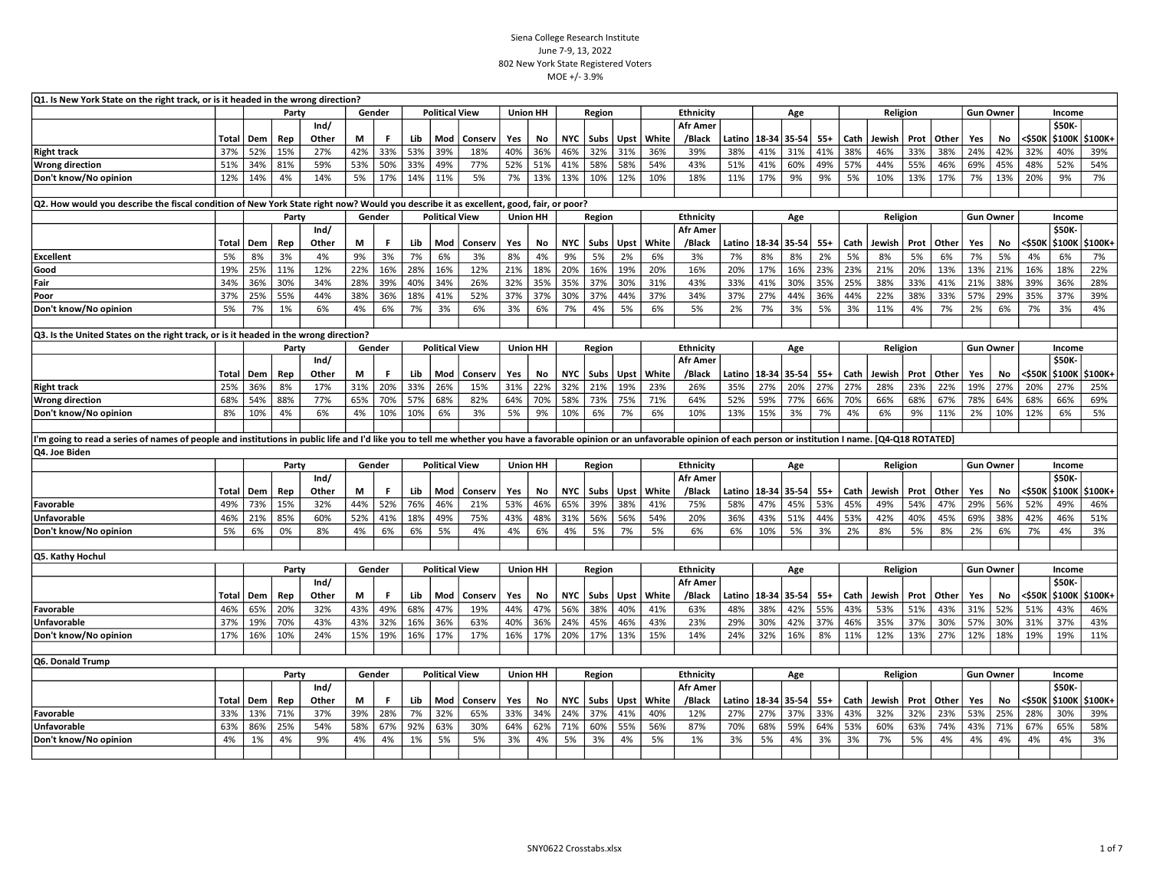| Q1. Is New York State on the right track, or is it headed in the wrong direction?                                                                                                                                              |       |     |       |               |     |        |     |                       |         |     |                 |            |             |             |       |                           |        |             |       |       |      |          |      |              |                  |                  |        |                         |                  |
|--------------------------------------------------------------------------------------------------------------------------------------------------------------------------------------------------------------------------------|-------|-----|-------|---------------|-----|--------|-----|-----------------------|---------|-----|-----------------|------------|-------------|-------------|-------|---------------------------|--------|-------------|-------|-------|------|----------|------|--------------|------------------|------------------|--------|-------------------------|------------------|
|                                                                                                                                                                                                                                |       |     | Party |               |     | Gender |     | <b>Political View</b> |         |     | <b>Union HH</b> |            | Region      |             |       | Ethnicity                 |        |             | Age   |       |      | Religion |      |              | <b>Gun Owner</b> |                  |        | Income                  |                  |
|                                                                                                                                                                                                                                | Total | Dem | Rep   | Ind/<br>Other | М   | F.     | Lib | Mod                   | Conserv | Yes | No              | <b>NYC</b> | Subs        | <b>Upst</b> | White | <b>Afr Amer</b><br>/Black | Latino | 18-34 35-54 |       | $55+$ | Cath | Jewish   | Prot | Other        | Yes              | No               | <\$50K | <b>\$50K-</b><br>\$100K | \$100K+          |
| <b>Right track</b>                                                                                                                                                                                                             | 37%   | 52% | 15%   | 27%           | 42% | 33%    | 53% | 39%                   | 18%     | 40% | 36%             | 46%        | 32%         | 31%         | 36%   | 39%                       | 38%    | 41%         | 31%   | 41%   | 38%  | 46%      | 33%  | 38%          | 24%              | 42%              | 32%    | 40%                     | 39%              |
| <b>Wrong direction</b>                                                                                                                                                                                                         | 51%   | 34% | 81%   | 59%           | 53% | 50%    | 33% | 49%                   | 77%     | 52% | 51%             | 41%        | 58%         | 58%         | 54%   | 43%                       | 51%    | 41%         | 60%   | 49%   | 57%  | 44%      | 55%  | 46%          | 69%              | 45%              | 48%    | 52%                     | 54%              |
| Don't know/No opinion                                                                                                                                                                                                          | 12%   | 14% | 4%    | 14%           | 5%  | 17%    | 14% | 11%                   | 5%      | 7%  | 13%             | 13%        | 10%         | 12%         | 10%   | 18%                       | 11%    | 17%         | 9%    | 9%    | 5%   | 10%      | 13%  | 17%          | 7%               | 13%              | 20%    | 9%                      | 7%               |
|                                                                                                                                                                                                                                |       |     |       |               |     |        |     |                       |         |     |                 |            |             |             |       |                           |        |             |       |       |      |          |      |              |                  |                  |        |                         |                  |
| Q2. How would you describe the fiscal condition of New York State right now? Would you describe it as excellent, good, fair, or poor?                                                                                          |       |     |       |               |     |        |     |                       |         |     |                 |            |             |             |       |                           |        |             |       |       |      |          |      |              |                  |                  |        |                         |                  |
|                                                                                                                                                                                                                                |       |     | Party |               |     | Gender |     | <b>Political View</b> |         |     | <b>Union HH</b> |            | Region      |             |       | <b>Ethnicity</b>          |        |             | Age   |       |      | Religion |      |              |                  | <b>Gun Owner</b> |        | Income                  |                  |
|                                                                                                                                                                                                                                |       |     |       | Ind/          |     |        |     |                       |         |     |                 |            |             |             |       | <b>Afr Amer</b>           |        |             |       |       |      |          |      |              |                  |                  |        | <b>\$50K-</b>           |                  |
|                                                                                                                                                                                                                                | Total | Dem | Rep   | Other         | М   | F      | Lib | Mod                   | Conserv | Yes | No              | <b>NYC</b> | Subs        | Upst        | White | /Black                    | Latino | 18-34       | 35-54 | $55+$ | Cath | Jewish   | Prot | Other        | Yes              | No               | <\$50K | \$100K                  | \$100K+          |
| <b>Excellent</b>                                                                                                                                                                                                               | 5%    | 8%  | 3%    | 4%            | 9%  | 3%     | 7%  | 6%                    | 3%      | 8%  | 4%              | 9%         | 5%          | 2%          | 6%    | 3%                        | 7%     | 8%          | 8%    | 2%    | 5%   | 8%       | 5%   | 6%           | 7%               | 5%               | 4%     | 6%                      | 7%               |
| Good                                                                                                                                                                                                                           | 19%   | 25% | 11%   | 12%           | 22% | 16%    | 28% | 16%                   | 12%     | 21% | 18%             | 20%        | 16%         | 19%         | 20%   | 16%                       | 20%    | 17%         | 16%   | 23%   | 23%  | 21%      | 20%  | 13%          | 13%              | 21%              | 16%    | 18%                     | 22%              |
| Fair                                                                                                                                                                                                                           | 34%   | 36% | 30%   | 34%           | 28% | 39%    | 40% | 34%                   | 26%     | 32% | 35%             | 35%        | 37%         | 30%         | 31%   | 43%                       | 33%    | 41%         | 30%   | 35%   | 25%  | 38%      | 33%  | 41%          | 21%              | 38%              | 39%    | 36%                     | 28%              |
| Poor                                                                                                                                                                                                                           | 37%   | 25% | 55%   | 44%           | 38% | 36%    | 18% | 41%                   | 52%     | 37% | 37%             | 30%        | 37%         | 44%         | 37%   | 34%                       | 37%    | 27%         | 44%   | 36%   | 44%  | 22%      | 38%  | 33%          | 57%              | 29%              | 35%    | 37%                     | 39%              |
| Don't know/No opinion                                                                                                                                                                                                          | 5%    | 7%  | 1%    | 6%            | 4%  | 6%     | 7%  | 3%                    | 6%      | 3%  | 6%              | 7%         | 4%          | 5%          | 6%    | 5%                        | 2%     | 7%          | 3%    | 5%    | 3%   | 11%      | 4%   | 7%           | 2%               | 6%               | 7%     | 3%                      | 4%               |
|                                                                                                                                                                                                                                |       |     |       |               |     |        |     |                       |         |     |                 |            |             |             |       |                           |        |             |       |       |      |          |      |              |                  |                  |        |                         |                  |
| Q3. Is the United States on the right track, or is it headed in the wrong direction?                                                                                                                                           |       |     |       |               |     |        |     |                       |         |     |                 |            |             |             |       |                           |        |             |       |       |      |          |      |              |                  |                  |        |                         |                  |
|                                                                                                                                                                                                                                |       |     | Party |               |     | Gender |     | <b>Political View</b> |         |     | <b>Union HH</b> |            | Region      |             |       | <b>Ethnicity</b>          |        |             | Age   |       |      | Religion |      |              |                  | <b>Gun Owner</b> |        | Income                  |                  |
|                                                                                                                                                                                                                                | Total | Dem | Rep   | Ind/<br>Other | М   | F.     | Lib | Mod                   | Conserv | Yes | No              | <b>NYC</b> | <b>Subs</b> | <b>Upst</b> | White | <b>Afr Amer</b><br>/Black | Latino | 18-34 35-54 |       | $55+$ | Cath | Jewish   | Prot | Other        | Yes              | No               | <\$50K | \$50K-<br>\$100K        | \$100K+          |
| <b>Right track</b>                                                                                                                                                                                                             | 25%   | 36% | 8%    | 17%           | 31% | 20%    | 33% | 26%                   | 15%     | 31% | 22%             | 32%        | 21%         | 19%         | 23%   | 26%                       | 35%    | 27%         | 20%   | 27%   | 27%  | 28%      | 23%  | 22%          | 19%              | 27%              | 20%    | 27%                     | 25%              |
| <b>Wrong direction</b>                                                                                                                                                                                                         | 68%   | 54% | 88%   | 77%           | 65% | 70%    | 57% | 68%                   | 82%     | 64% | 70%             | 58%        | 73%         | 75%         | 71%   | 64%                       | 52%    | 59%         | 77%   | 66%   | 70%  | 66%      | 68%  | 67%          | 78%              | 64%              | 68%    | 66%                     | 69%              |
| Don't know/No opinion                                                                                                                                                                                                          | 8%    | 10% | 4%    | 6%            | 4%  | 10%    | 10% | 6%                    | 3%      | 5%  | 9%              | 10%        | 6%          | 7%          | 6%    | 10%                       | 13%    | 15%         | 3%    | 7%    | 4%   | 6%       | 9%   | 11%          | 2%               | 10%              | 12%    | 6%                      | 5%               |
|                                                                                                                                                                                                                                |       |     |       |               |     |        |     |                       |         |     |                 |            |             |             |       |                           |        |             |       |       |      |          |      |              |                  |                  |        |                         |                  |
| I'm going to read a series of names of people and institutions in public life and I'd like you to tell me whether you have a favorable opinion or an unfavorable opinion of each person or institution I name. [Q4-Q18 ROTATED |       |     |       |               |     |        |     |                       |         |     |                 |            |             |             |       |                           |        |             |       |       |      |          |      |              |                  |                  |        |                         |                  |
| Q4. Joe Biden                                                                                                                                                                                                                  |       |     |       |               |     |        |     |                       |         |     |                 |            |             |             |       |                           |        |             |       |       |      |          |      |              |                  |                  |        |                         |                  |
|                                                                                                                                                                                                                                |       |     | Party |               |     | Gender |     | <b>Political View</b> |         |     | Union HH        |            | Region      |             |       | Ethnicity                 |        |             | Age   |       |      | Religion |      |              |                  | <b>Gun Owner</b> |        | Income                  |                  |
|                                                                                                                                                                                                                                |       |     |       | Ind/          |     |        |     |                       |         |     |                 |            |             |             |       | <b>Afr Amer</b>           |        |             |       |       |      |          |      |              |                  |                  |        | \$50K-                  |                  |
|                                                                                                                                                                                                                                | Total | Dem | Rep   | Other         | M   | F      | Lib | Mod                   | Conserv | Yes | No              | <b>NYC</b> | Subs        | Upst        | White | /Black                    | Latino | 18-34       | 35-54 | $55+$ | Cath | Jewish   |      | Prot   Other | Yes              | No               | <\$50K |                         | \$100K   \$100K+ |
| Favorable                                                                                                                                                                                                                      | 49%   | 73% | 15%   | 32%           | 44% | 52%    | 76% | 46%                   | 21%     | 53% | 46%             | 65%        | 39%         | 38%         | 41%   | 75%                       | 58%    | 47%         | 45%   | 53%   | 45%  | 49%      | 54%  | 47%          | 29%              | 56%              | 52%    | 49%                     | 46%              |
| Unfavorable                                                                                                                                                                                                                    | 46%   | 21% | 85%   | 60%           | 52% | 41%    | 18% | 49%                   | 75%     | 43% | 48%             | 31%        | 56%         | 56%         | 54%   | 20%                       | 36%    | 43%         | 51%   | 44%   | 53%  | 42%      | 40%  | 45%          | 69%              | 38%              | 42%    | 46%                     | 51%              |
| Don't know/No opinion                                                                                                                                                                                                          | 5%    | 6%  | 0%    | 8%            | 4%  | 6%     | 6%  | 5%                    | 4%      | 4%  | 6%              | 4%         | 5%          | 7%          | 5%    | 6%                        | 6%     | 10%         | 5%    | 3%    | 2%   | 8%       | 5%   | 8%           | 2%               | 6%               | 7%     | 4%                      | 3%               |
|                                                                                                                                                                                                                                |       |     |       |               |     |        |     |                       |         |     |                 |            |             |             |       |                           |        |             |       |       |      |          |      |              |                  |                  |        |                         |                  |
| Q5. Kathy Hochul                                                                                                                                                                                                               |       |     | Party |               |     | Gender |     | <b>Political View</b> |         |     | <b>Union HH</b> |            | Region      |             |       | Ethnicity                 |        |             | Age   |       |      | Religion |      |              | <b>Gun Owner</b> |                  |        | Income                  |                  |
|                                                                                                                                                                                                                                |       |     |       | Ind/          |     |        |     |                       |         |     |                 |            |             |             |       | <b>Afr Amer</b>           |        |             |       |       |      |          |      |              |                  |                  |        | \$50K-                  |                  |
|                                                                                                                                                                                                                                | Total | Dem | Rep   | Other         | М   | F.     | Lib | Mod                   | Conserv | Yes | No              | <b>NYC</b> | Subs        | Upst        | White | /Black                    | Latino | 18-34       | 35-54 | $55+$ | Cath | Jewish   | Prot | Other        | Yes              | No               | <\$50K | \$100K                  | \$100K+          |
| Favorable                                                                                                                                                                                                                      | 46%   | 65% | 20%   | 32%           | 43% | 49%    | 68% | 47%                   | 19%     | 44% | 47%             | 56%        | 38%         | 40%         | 41%   | 63%                       | 48%    | 38%         | 42%   | 55%   | 43%  | 53%      | 51%  | 43%          | 31%              | 52%              | 51%    | 43%                     | 46%              |
| <b>Unfavorable</b>                                                                                                                                                                                                             | 37%   | 19% | 70%   | 43%           | 43% | 32%    | 16% | 36%                   | 63%     | 40% | 36%             | 24%        | 45%         | 46%         | 43%   | 23%                       | 29%    | 30%         | 42%   | 37%   | 46%  | 35%      | 37%  | 30%          | 57%              | 30%              | 31%    | 37%                     | 43%              |
| Don't know/No opinion                                                                                                                                                                                                          | 17%   | 16% | 10%   | 24%           | 15% | 19%    | 16% | 17%                   | 17%     | 16% | 17%             | 20%        | 17%         | 13%         | 15%   | 14%                       | 24%    | 32%         | 16%   | 8%    | 11%  | 12%      | 13%  | 27%          | 12%              | 18%              | 19%    | 19%                     | 11%              |
|                                                                                                                                                                                                                                |       |     |       |               |     |        |     |                       |         |     |                 |            |             |             |       |                           |        |             |       |       |      |          |      |              |                  |                  |        |                         |                  |
| Q6. Donald Trump                                                                                                                                                                                                               |       |     |       |               |     |        |     |                       |         |     |                 |            |             |             |       |                           |        |             |       |       |      |          |      |              |                  |                  |        |                         |                  |
|                                                                                                                                                                                                                                |       |     | Party |               |     | Gender |     | <b>Political View</b> |         |     | <b>Union HH</b> |            | Region      |             |       | Ethnicity                 |        |             | Age   |       |      | Religion |      |              |                  | <b>Gun Owner</b> |        | Income                  |                  |
|                                                                                                                                                                                                                                |       |     |       | Ind/          |     |        |     |                       |         |     |                 |            |             |             |       | <b>Afr Amer</b>           |        |             |       |       |      |          |      |              |                  |                  |        | <b>\$50K-</b>           |                  |
|                                                                                                                                                                                                                                | Total | Dem | Rep   | Other         | М   | F      | Lib | Mod                   | Conserv | Yes | No              | <b>NYC</b> | Subs        | Upst        | White | /Black                    | Latino | 18-34       | 35-54 | $55+$ | Cath | Jewish   | Prot | Other        | Yes              | No.              | <\$50K |                         | \$100K   \$100K+ |
| Favorable                                                                                                                                                                                                                      | 33%   | 13% | 71%   | 37%           | 39% | 28%    | 7%  | 32%                   | 65%     | 33% | 34%             | 24%        | 37%         | 41%         | 40%   | 12%                       | 27%    | 27%         | 37%   | 33%   | 43%  | 32%      | 32%  | 23%          | 53%              | 25%              | 28%    | 30%                     | 39%              |
| <b>Unfavorable</b>                                                                                                                                                                                                             | 63%   | 86% | 25%   | 54%           | 58% | 67%    | 92% | 63%                   | 30%     | 64% | 62%             | 71%        | 60%         | 55%         | 56%   | 87%                       | 70%    | 68%         | 59%   | 64%   | 53%  | 60%      | 63%  | 74%          | 43%              | 71%              | 67%    | 65%                     | 58%              |
| Don't know/No opinion                                                                                                                                                                                                          | 4%    | 1%  | 4%    | 9%            | 4%  | 4%     | 1%  | 5%                    | 5%      | 3%  | 4%              | 5%         | 3%          | 4%          | 5%    | 1%                        | 3%     | 5%          | 4%    | 3%    | 3%   | 7%       | 5%   | 4%           | 4%               | 4%               | 4%     | 4%                      | 3%               |
|                                                                                                                                                                                                                                |       |     |       |               |     |        |     |                       |         |     |                 |            |             |             |       |                           |        |             |       |       |      |          |      |              |                  |                  |        |                         |                  |
|                                                                                                                                                                                                                                |       |     |       |               |     |        |     |                       |         |     |                 |            |             |             |       |                           |        |             |       |       |      |          |      |              |                  |                  |        |                         |                  |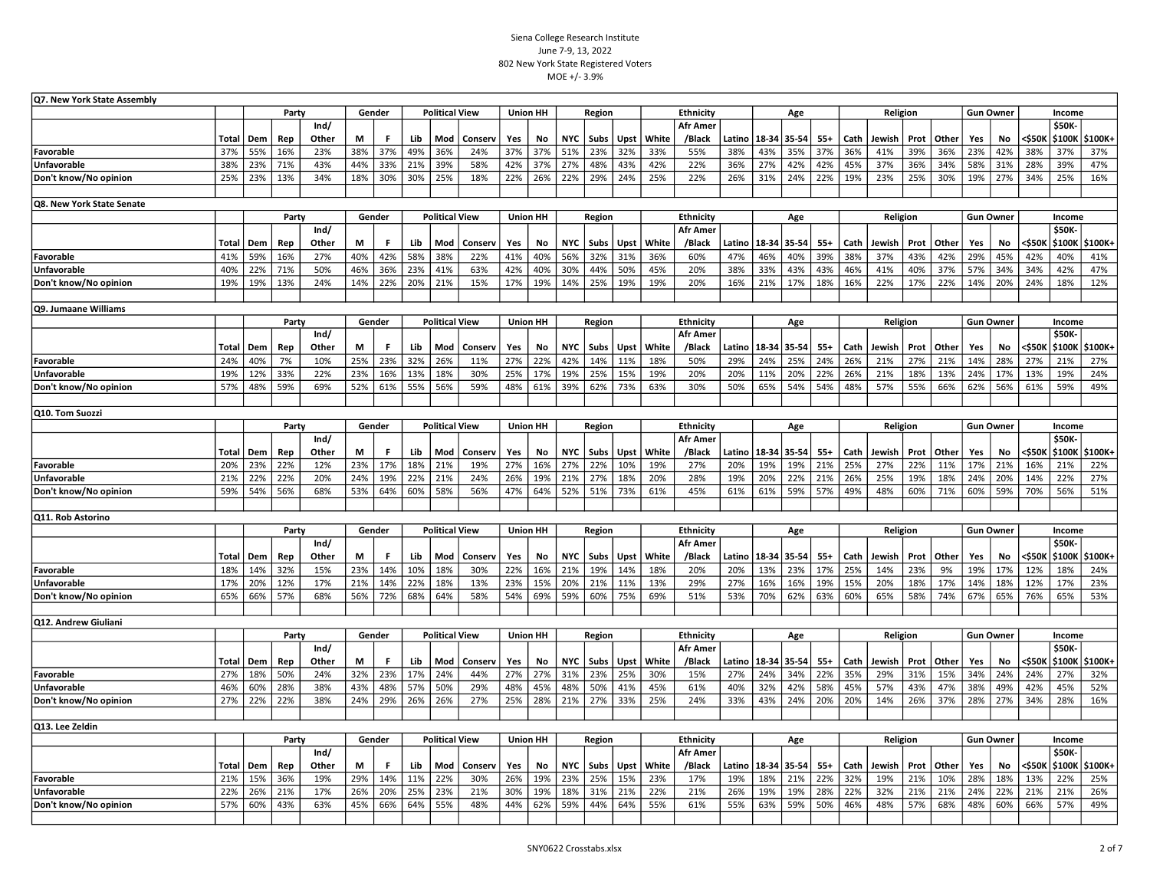| Q7. New York State Assembly |            |            |            |               |        |            |            |                       |         |                 |            |            |            |            |            |                           |            |                        |     |       |      |            |      |       |     |                  |            |               |                  |
|-----------------------------|------------|------------|------------|---------------|--------|------------|------------|-----------------------|---------|-----------------|------------|------------|------------|------------|------------|---------------------------|------------|------------------------|-----|-------|------|------------|------|-------|-----|------------------|------------|---------------|------------------|
|                             |            |            | Party      |               |        | Gender     |            | <b>Political View</b> |         | Union HH        |            |            | Region     |            |            | Ethnicity                 |            |                        | Age |       |      | Religion   |      |       |     | <b>Gun Owner</b> |            | Income        |                  |
|                             |            |            |            | Ind/          |        |            |            |                       |         |                 |            |            |            |            |            | <b>Afr Amer</b>           |            |                        |     |       |      |            |      |       |     |                  |            | <b>\$50K-</b> |                  |
|                             | Total      | Dem        | Rep        | Other         | М      | F.         | Lib        | Mod                   | Conserv | Yes             | No         | <b>NYC</b> | Subs       | Upst       | White      | /Black                    |            | Latino   18-34   35-54 |     | $55+$ | Cath | Jewish     | Prot | Other | Yes | No               | <\$50K     |               | \$100K   \$100K+ |
| Favorable                   | 37%        | 55%        | 16%        | 23%           | 38%    | 37%        | 49%        | 36%                   | 24%     | 37%             | 37%        | 51%        | 23%        | 32%        | 33%        | 55%                       | 38%        | 43%                    | 35% | 37%   | 36%  | 41%        | 39%  | 36%   | 23% | 42%              | 38%        | 37%           | 37%              |
| <b>Unfavorable</b>          | 38%        | 23%        | 71%        | 43%           | 44%    | 33%        | 21%        | 39%                   | 58%     | 42%             | 37%        | 27%        | 48%        | 43%        | 42%        | 22%                       | 36%        | 27%                    | 42% | 42%   | 45%  | 37%        | 36%  | 34%   | 58% | 31%              | 28%        | 39%           | 47%              |
| Don't know/No opinion       | 25%        | 23%        | 13%        | 34%           | 18%    | 30%        | 30%        | 25%                   | 18%     | 22%             | 26%        | 22%        | 29%        | 24%        | 25%        | 22%                       | 26%        | 31%                    | 24% | 22%   | 19%  | 23%        | 25%  | 30%   | 19% | 27%              | 34%        | 25%           | 16%              |
|                             |            |            |            |               |        |            |            |                       |         |                 |            |            |            |            |            |                           |            |                        |     |       |      |            |      |       |     |                  |            |               |                  |
| Q8. New York State Senate   |            |            | Party      |               |        | Gender     |            | <b>Political View</b> |         | Union HH        |            |            |            |            |            | Ethnicity                 |            |                        |     |       |      | Religion   |      |       |     | <b>Gun Owner</b> |            | Income        |                  |
|                             |            |            |            | Ind/          |        |            |            |                       |         |                 |            |            | Region     |            |            | <b>Afr Amer</b>           |            |                        | Age |       |      |            |      |       |     |                  |            | \$50K-        |                  |
|                             | Total      | Dem        | Rep        | Other         | М      | F.         | Lib        | Mod                   | Conserv | Yes             | No         | <b>NYC</b> | Subs       | Upst       | White      | /Black                    |            | Latino   18-34   35-54 |     | $55+$ | Cath | Jewish     | Prot | Other | Yes | No               | <\$50K     |               | \$100K   \$100K+ |
| Favorable                   | 41%        | 59%        | 16%        | 27%           | 40%    | 42%        | 58%        | 38%                   | 22%     | 41%             | 40%        | 56%        | 32%        | 31%        | 36%        | 60%                       | 47%        | 46%                    | 40% | 39%   | 38%  | 37%        | 43%  | 42%   | 29% | 45%              | 42%        | 40%           | 41%              |
| Unfavorable                 | 40%        | 22%        | 71%        | 50%           | 46%    | 36%        | 23%        | 41%                   | 63%     | 42%             | 40%        | 30%        | 44%        | 50%        | 45%        | 20%                       | 38%        | 33%                    | 43% | 43%   | 46%  | 41%        | 40%  | 37%   | 57% | 34%              | 34%        | 42%           | 47%              |
| Don't know/No opinion       | 19%        | 19%        | 13%        | 24%           | 14%    | 22%        | 20%        | 21%                   | 15%     | 17%             | 19%        | 14%        | 25%        | 19%        | 19%        | 20%                       | 16%        | 21%                    | 17% | 18%   | 16%  | 22%        | 17%  | 22%   | 14% | 20%              | 24%        | 18%           | 12%              |
|                             |            |            |            |               |        |            |            |                       |         |                 |            |            |            |            |            |                           |            |                        |     |       |      |            |      |       |     |                  |            |               |                  |
| Q9. Jumaane Williams        |            |            |            |               |        |            |            |                       |         |                 |            |            |            |            |            |                           |            |                        |     |       |      |            |      |       |     |                  |            |               |                  |
|                             |            |            | Party      |               |        | Gender     |            | <b>Political View</b> |         | <b>Union HH</b> |            |            | Region     |            |            | Ethnicity                 |            |                        | Age |       |      | Religion   |      |       |     | <b>Gun Owner</b> |            | Income        |                  |
|                             | Total      | Dem        | Rep        | Ind/<br>Other | М      | F.         | Lib        | Mod                   | Conserv | Yes             | No         | <b>NYC</b> | Subs       | Upst       | White      | <b>Afr Amer</b><br>/Black |            | Latino   18-34   35-54 |     | $55+$ | Cath | Jewish     | Prot | Other | Yes | No               | <\$50K     | \$50K-        | \$100K   \$100K+ |
| Favorable                   | 24%        | 40%        | 7%         | 10%           | 25%    | 23%        | 32%        | 26%                   | 11%     | 27%             | 22%        | 42%        | 14%        | 11%        | 18%        | 50%                       | 29%        | 24%                    | 25% | 24%   | 26%  | 21%        | 27%  | 21%   | 14% | 28%              | 27%        | 21%           | 27%              |
| Unfavorable                 | 19%        | 12%        | 33%        | 22%           | 23%    | 16%        | 13%        | 18%                   | 30%     | 25%             | 17%        | 19%        | 25%        | 15%        | 19%        | 20%                       | 20%        | 11%                    | 20% | 22%   | 26%  | 21%        | 18%  | 13%   | 24% | 17%              | 13%        | 19%           | 24%              |
| Don't know/No opinion       | 57%        | 48%        | 59%        | 69%           | 52%    | 61%        | 55%        | 56%                   | 59%     | 48%             | 61%        | 39%        | 62%        | 73%        | 63%        | 30%                       | 50%        | 65%                    | 54% | 54%   | 48%  | 57%        | 55%  | 66%   | 62% | 56%              | 61%        | 59%           | 49%              |
|                             |            |            |            |               |        |            |            |                       |         |                 |            |            |            |            |            |                           |            |                        |     |       |      |            |      |       |     |                  |            |               |                  |
| Q10. Tom Suozzi             |            |            |            |               |        |            |            |                       |         |                 |            |            |            |            |            |                           |            |                        |     |       |      |            |      |       |     |                  |            |               |                  |
|                             |            |            | Party      |               | Gender |            |            | <b>Political View</b> |         | <b>Union HH</b> |            |            | Region     |            |            | Ethnicity                 |            |                        | Age |       |      | Religion   |      |       |     | <b>Gun Owner</b> |            | Income        |                  |
|                             |            |            |            | Ind/          |        |            |            |                       |         |                 |            |            |            |            |            | <b>Afr Amer</b>           |            |                        |     |       |      |            |      |       |     |                  |            | \$50K-        |                  |
|                             | Total      | Dem        | Rep        | Other         | М      | F.         | Lib        | Mod                   | Conserv | Yes             | No         | <b>NYC</b> | Subs       | Upst       | White      | /Black                    | Latino     | 18-34 35-54            |     | $55+$ | Cath | Jewish     | Prot | Other | Yes | No               | <\$50K     |               | \$100K   \$100K+ |
| Favorable                   | 20%        | 23%        | 22%        | 12%           | 23%    | 17%        | 18%        | 21%                   | 19%     | 27%             | 16%        | 27%        | 22%        | 10%        | 19%        | 27%                       | 20%        | 19%                    | 19% | 21%   | 25%  | 27%        | 22%  | 11%   | 17% | 21%              | 16%        | 21%           | 22%              |
| <b>Unfavorable</b>          | 21%        | 22%        | 22%        | 20%           | 24%    | 19%        | 22%        | 21%                   | 24%     | 26%             | 19%        | 21%        | 27%        | 18%        | 20%        | 28%                       | 19%        | 20%                    | 22% | 21%   | 26%  | 25%        | 19%  | 18%   | 24% | 20%              | 14%        | 22%           | 27%              |
| Don't know/No opinion       | 59%        | 54%        | 56%        | 68%           | 53%    | 64%        | 60%        | 58%                   | 56%     | 47%             | 64%        | 52%        | 51%        | 73%        | 61%        | 45%                       | 61%        | 61%                    | 59% | 57%   | 49%  | 48%        | 60%  | 71%   | 60% | 59%              | 70%        | 56%           | 51%              |
| Q11. Rob Astorino           |            |            |            |               |        |            |            |                       |         |                 |            |            |            |            |            |                           |            |                        |     |       |      |            |      |       |     |                  |            |               |                  |
|                             |            |            | Party      |               | Gender |            |            | <b>Political View</b> |         | <b>Union HH</b> |            |            | Region     |            |            | <b>Ethnicity</b>          |            |                        | Age |       |      | Religion   |      |       |     | <b>Gun Owner</b> |            | Income        |                  |
|                             |            |            |            | Ind/          |        |            |            |                       |         |                 |            |            |            |            |            | <b>Afr Amer</b>           |            |                        |     |       |      |            |      |       |     |                  |            | \$50K-        |                  |
|                             | Total      | Dem        | Rep        | Other         | М      | F          | Lib        | Mod                   | Conserv | Yes             | No         | <b>NYC</b> | Subs       | Upst       | White      | /Black                    |            | Latino   18-34   35-54 |     | $55+$ | Cath | Jewish     | Prot | Other | Yes | No               | <\$50K     |               | \$100K   \$100K+ |
| Favorable                   | 18%        | 14%        | 32%        | 15%           | 23%    | 14%        | 10%        | 18%                   | 30%     | 22%             | 16%        | 21%        | 19%        | 14%        | 18%        | 20%                       | 20%        | 13%                    | 23% | 17%   | 25%  | 14%        | 23%  | 9%    | 19% | 17%              | 12%        | 18%           | 24%              |
| <b>Unfavorable</b>          | 17%        | 20%        | 12%        | 17%           | 21%    | 14%        | 22%        | 18%                   | 13%     | 23%             | 15%        | 20%        | 21%        | 11%        | 13%        | 29%                       | 27%        | 16%                    | 16% | 19%   | 15%  | 20%        | 18%  | 17%   | 14% | 18%              | 12%        | 17%           | 23%              |
| Don't know/No opinion       | 65%        | 66%        | 57%        | 68%           | 56%    | 72%        | 68%        | 64%                   | 58%     | 54%             | 69%        | 59%        | 60%        | 75%        | 69%        | 51%                       | 53%        | 70%                    | 62% | 63%   | 60%  | 65%        | 58%  | 74%   | 67% | 65%              | 76%        | 65%           | 53%              |
|                             |            |            |            |               |        |            |            |                       |         |                 |            |            |            |            |            |                           |            |                        |     |       |      |            |      |       |     |                  |            |               |                  |
| Q12. Andrew Giuliani        |            |            |            |               |        |            |            |                       |         |                 |            |            |            |            |            |                           |            |                        |     |       |      |            |      |       |     |                  |            |               |                  |
|                             |            |            | Party      |               |        | Gender     |            | <b>Political View</b> |         | <b>Union HH</b> |            |            | Region     |            |            | Ethnicity                 |            |                        | Age |       |      | Religion   |      |       |     | <b>Gun Owner</b> |            | Income        |                  |
|                             |            |            |            | Ind/          |        |            |            |                       |         |                 |            |            |            |            |            | <b>Afr Amer</b>           |            |                        |     |       |      |            |      |       |     |                  |            | \$50K-        |                  |
|                             | Total      | Dem        | Rep        | Other         | М      | F          | Lib        | Mod                   | Conserv | Yes             | No         | <b>NYC</b> | Subs       | Upst       | White      | /Black                    |            | Latino   18-34   35-54 |     | $55+$ | Cath | Jewish     | Prot | Other | Yes | No               | <\$50K     |               | \$100K   \$100K+ |
| Favorable                   | 27%        | 18%        | 50%        | 24%           | 32%    | 23%        | 17%        | 24%                   | 44%     | 27%             | 27%        | 31%        | 23%        | 25%        | 30%        | 15%                       | 27%        | 24%                    | 34% | 22%   | 35%  | 29%        | 31%  | 15%   | 34% | 24%              | 24%        | 27%           | 32%              |
| <b>Unfavorable</b>          | 46%<br>27% | 60%<br>22% | 28%<br>22% | 38%           | 43%    | 48%<br>29% | 57%<br>26% | 50%<br>26%            | 29%     | 48%             | 45%<br>28% | 48%<br>21% | 50%<br>27% | 41%<br>33% | 45%<br>25% | 61%                       | 40%<br>33% | 32%                    | 42% | 58%   | 45%  | 57%<br>14% | 43%  | 47%   | 38% | 49%              | 42%<br>34% | 45%<br>28%    | 52%<br>16%       |
| Don't know/No opinion       |            |            |            | 38%           | 24%    |            |            |                       | 27%     | 25%             |            |            |            |            |            | 24%                       |            | 43%                    | 24% | 20%   | 20%  |            | 26%  | 37%   | 28% | 27%              |            |               |                  |
| Q13. Lee Zeldin             |            |            |            |               |        |            |            |                       |         |                 |            |            |            |            |            |                           |            |                        |     |       |      |            |      |       |     |                  |            |               |                  |
|                             |            |            | Party      |               |        | Gender     |            | <b>Political View</b> |         | <b>Union HH</b> |            |            | Region     |            |            | <b>Ethnicity</b>          |            |                        | Age |       |      | Religion   |      |       |     | <b>Gun Owner</b> |            | Income        |                  |
|                             |            |            |            | Ind/          |        |            |            |                       |         |                 |            |            |            |            |            | <b>Afr Amer</b>           |            |                        |     |       |      |            |      |       |     |                  |            | <b>\$50K-</b> |                  |
|                             | Total      | Dem        | Rep        | Other         | М      | F          | Lib        | Mod                   | Conserv | Yes             | No         | <b>NYC</b> | Subs       | Upst       | White      | /Black                    |            | Latino   18-34   35-54 |     | $55+$ | Cath | Jewish     | Prot | Other | Yes | No               | <\$50K     |               | \$100K \$100K+   |
| Favorable                   | 21%        | 15%        | 36%        | 19%           | 29%    | 14%        | 11%        | 22%                   | 30%     | 26%             | 19%        | 23%        | 25%        | 15%        | 23%        | 17%                       | 19%        | 18%                    | 21% | 22%   | 32%  | 19%        | 21%  | 10%   | 28% | 18%              | 13%        | 22%           | 25%              |
| <b>Unfavorable</b>          | 22%        | 26%        | 21%        | 17%           | 26%    | 20%        | 25%        | 23%                   | 21%     | 30%             | 19%        | 18%        | 31%        | 21%        | 22%        | 21%                       | 26%        | 19%                    | 19% | 28%   | 22%  | 32%        | 21%  | 21%   | 24% | 22%              | 21%        | 21%           | 26%              |
| Don't know/No opinion       | 57%        | 60%        | 43%        | 63%           | 45%    | 66%        | 64%        | 55%                   | 48%     | 44%             | 62%        | 59%        | 44%        | 64%        | 55%        | 61%                       | 55%        | 63%                    | 59% | 50%   | 46%  | 48%        | 57%  | 68%   | 48% | 60%              | 66%        | 57%           | 49%              |
|                             |            |            |            |               |        |            |            |                       |         |                 |            |            |            |            |            |                           |            |                        |     |       |      |            |      |       |     |                  |            |               |                  |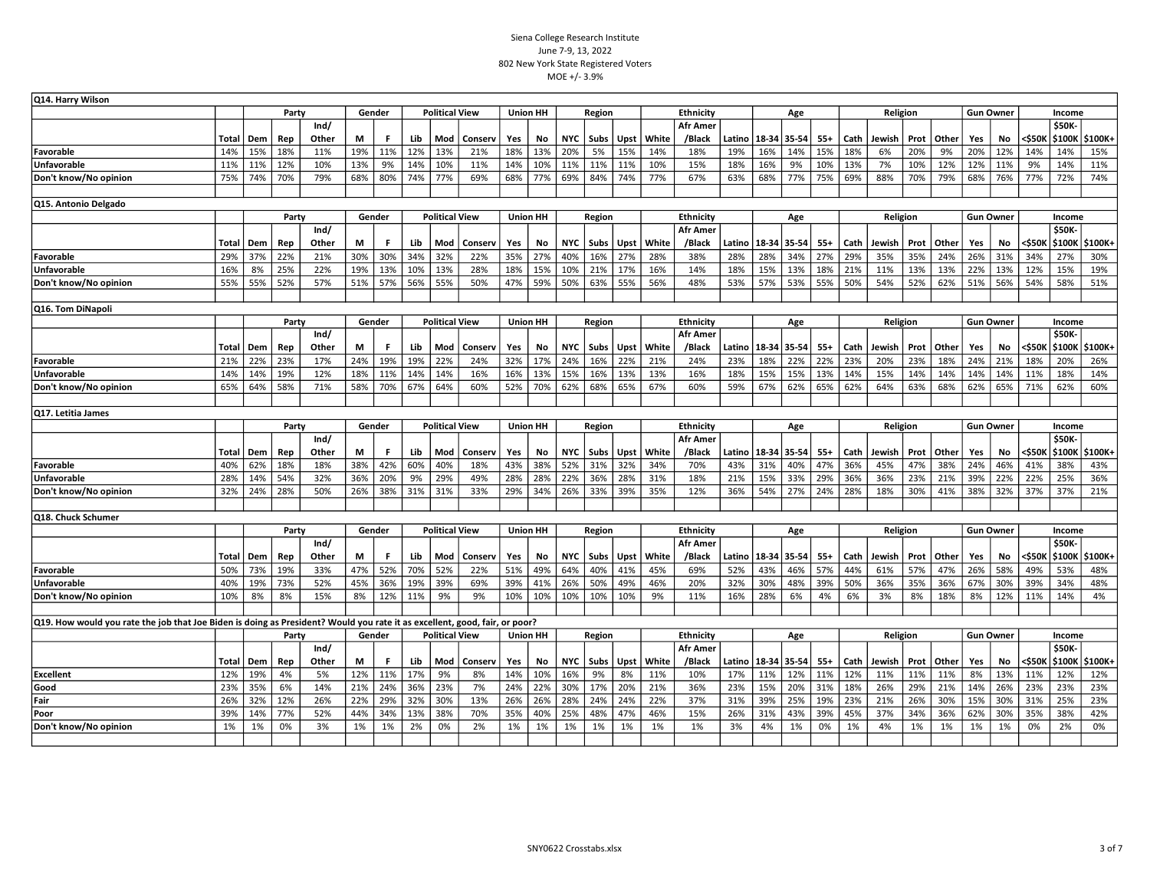| Q14. Harry Wilson                                                                                                          |       |     |       |               |     |        |     |                       |         |     |                 |            |        |             |              |                           |     |                        |     |       |      |          |     |              |     |                  |        |        |                  |
|----------------------------------------------------------------------------------------------------------------------------|-------|-----|-------|---------------|-----|--------|-----|-----------------------|---------|-----|-----------------|------------|--------|-------------|--------------|---------------------------|-----|------------------------|-----|-------|------|----------|-----|--------------|-----|------------------|--------|--------|------------------|
|                                                                                                                            |       |     | Party |               |     | Gender |     | <b>Political View</b> |         |     | Union HH        |            | Region |             |              | <b>Ethnicity</b>          |     |                        | Age |       |      | Religion |     |              |     | <b>Gun Owner</b> |        | Income |                  |
|                                                                                                                            |       |     |       | Ind/          |     |        |     |                       |         |     |                 |            |        |             |              | Afr Amer                  |     |                        |     |       |      |          |     |              |     |                  |        | \$50K- |                  |
|                                                                                                                            | Total | Dem | Rep   | Other         | M   | F.     | Lib | Mod                   | Conserv | Yes | No              | <b>NYC</b> | Subs   | <b>Upst</b> | White        | /Black                    |     | Latino   18-34   35-54 |     | $55+$ | Cath | Jewish   |     | Prot   Other | Yes | No               | <\$50K |        | \$100K \$100K+   |
| Favorable                                                                                                                  | 14%   | 15% | 18%   | 11%           | 19% | 11%    | 12% | 13%                   | 21%     | 18% | 13%             | 20%        | 5%     | 15%         | 14%          | 18%                       | 19% | 16%                    | 14% | 15%   | 18%  | 6%       | 20% | 9%           | 20% | 12%              | 14%    | 14%    | 15%              |
| <b>Unfavorable</b>                                                                                                         | 11%   | 11% | 12%   | 10%           | 13% | 9%     | 14% | 10%                   | 11%     | 14% | 10%             | 11%        | 11%    | 11%         | 10%          | 15%                       | 18% | 16%                    | 9%  | 10%   | 13%  | 7%       | 10% | 12%          | 12% | 11%              | 9%     | 14%    | 11%              |
| Don't know/No opinion                                                                                                      | 75%   | 74% | 70%   | 79%           | 68% | 80%    | 74% | 77%                   | 69%     | 68% | 77%             | 69%        | 84%    | 74%         | 77%          | 67%                       | 63% | 68%                    | 77% | 75%   | 69%  | 88%      | 70% | 79%          | 68% | 76%              | 77%    | 72%    | 74%              |
|                                                                                                                            |       |     |       |               |     |        |     |                       |         |     |                 |            |        |             |              |                           |     |                        |     |       |      |          |     |              |     |                  |        |        |                  |
| Q15. Antonio Delgado                                                                                                       |       |     |       |               |     |        |     |                       |         |     |                 |            |        |             |              |                           |     |                        |     |       |      |          |     |              |     |                  |        |        |                  |
|                                                                                                                            |       |     | Party |               |     | Gender |     | <b>Political View</b> |         |     | <b>Union HH</b> |            | Region |             |              | <b>Ethnicity</b>          |     |                        | Age |       |      | Religion |     |              |     | <b>Gun Owner</b> |        | Income |                  |
|                                                                                                                            |       |     |       | Ind/          |     |        |     |                       |         |     |                 |            |        |             |              | <b>Afr Amer</b>           |     |                        |     |       |      |          |     |              |     |                  |        | \$50K  |                  |
|                                                                                                                            | Total | Dem | Rep   | Other         | M   | F.     | Lib | Mod                   | Conserv | Yes | No              | <b>NYC</b> | Subs   |             | Upst   White | /Black                    |     | Latino   18-34   35-54 |     | $55+$ | Cath | Jewish   |     | Prot   Other | Yes | No               | <\$50K |        | \$100K   \$100K+ |
| Favorable                                                                                                                  | 29%   | 37% | 22%   | 21%           | 30% | 30%    | 34% | 32%                   | 22%     | 35% | 27%             | 40%        | 16%    | 27%         | 28%          | 38%                       | 28% | 28%                    | 34% | 27%   | 29%  | 35%      | 35% | 24%          | 26% | 31%              | 34%    | 27%    | 30%              |
| <b>Unfavorable</b>                                                                                                         | 16%   | 8%  | 25%   | 22%           | 19% | 13%    | 10% | 13%                   | 28%     | 18% | 15%             | 10%        | 21%    | 17%         | 16%          | 14%                       | 18% | 15%                    | 13% | 18%   | 21%  | 11%      | 13% | 13%          | 22% | 13%              | 12%    | 15%    | 19%              |
| Don't know/No opinion                                                                                                      | 55%   | 55% | 52%   | 57%           | 51% | 57%    | 56% | 55%                   | 50%     | 47% | 59%             | 50%        | 63%    | 55%         | 56%          | 48%                       | 53% | 57%                    | 53% | 55%   | 50%  | 54%      | 52% | 62%          | 51% | 56%              | 54%    | 58%    | 51%              |
|                                                                                                                            |       |     |       |               |     |        |     |                       |         |     |                 |            |        |             |              |                           |     |                        |     |       |      |          |     |              |     |                  |        |        |                  |
| Q16. Tom DiNapoli                                                                                                          |       |     |       |               |     |        |     |                       |         |     |                 |            |        |             |              |                           |     |                        |     |       |      |          |     |              |     |                  |        |        |                  |
|                                                                                                                            |       |     | Party |               |     | Gender |     | <b>Political View</b> |         |     | <b>Union HH</b> |            | Region |             |              | Ethnicity                 |     |                        | Age |       |      | Religion |     |              |     | <b>Gun Owner</b> |        | Income |                  |
|                                                                                                                            |       |     |       | Ind/          |     |        |     |                       |         |     |                 |            |        |             |              | <b>Afr Amer</b>           |     |                        |     |       |      |          |     |              |     |                  |        | \$50K  |                  |
|                                                                                                                            | Total | Dem | Rep   | Other         | M   | F      | Lib | Mod                   | Conserv | Yes | No              | NYC        | Subs   |             | Upst   White | /Black                    |     | Latino   18-34   35-54 |     | $55+$ | Cath | Jewish   |     | Prot   Other | Yes | No               | <\$50K |        | \$100K   \$100K+ |
| Favorable                                                                                                                  | 21%   | 22% | 23%   | 17%           | 24% | 19%    | 19% | 22%                   | 24%     | 32% | 17%             | 24%        | 16%    | 22%         | 21%          | 24%                       | 23% | 18%                    | 22% | 22%   | 23%  | 20%      | 23% | 18%          | 24% | 21%              | 18%    | 20%    | 26%              |
| Unfavorable                                                                                                                | 14%   | 14% | 19%   | 12%           | 18% | 11%    | 14% | 14%                   | 16%     | 16% | 13%             | 15%        | 16%    | 13%         | 13%          | 16%                       | 18% | 15%                    | 15% | 13%   | 14%  | 15%      | 14% | 14%          | 14% | 14%              | 11%    | 18%    | 14%              |
| Don't know/No opinion                                                                                                      | 65%   | 64% | 58%   | 71%           | 58% | 70%    | 67% | 64%                   | 60%     | 52% | 70%             | 62%        | 68%    | 65%         | 67%          | 60%                       | 59% | 67%                    | 62% | 65%   | 62%  | 64%      | 63% | 68%          | 62% | 65%              | 71%    | 62%    | 60%              |
|                                                                                                                            |       |     |       |               |     |        |     |                       |         |     |                 |            |        |             |              |                           |     |                        |     |       |      |          |     |              |     |                  |        |        |                  |
| Q17. Letitia James                                                                                                         |       |     |       |               |     |        |     |                       |         |     |                 |            |        |             |              |                           |     |                        |     |       |      |          |     |              |     |                  |        |        |                  |
|                                                                                                                            |       |     | Party |               |     | Gender |     | <b>Political View</b> |         |     | <b>Union HH</b> |            | Region |             |              | Ethnicity                 |     |                        | Age |       |      | Religion |     |              |     | <b>Gun Owner</b> |        | Income |                  |
|                                                                                                                            | Total | Dem | Rep   | Ind/<br>Other | M   | F      | Lib | Mod                   | Conserv | Yes | No              | NYC        | Subs   | <b>Upst</b> | White        | <b>Afr Amer</b><br>/Black |     | Latino   18-34   35-54 |     | $55+$ | Cath | Jewish   |     | Prot   Other | Yes | No               | <\$50K | \$50K  | \$100K   \$100K+ |
| Favorable                                                                                                                  | 40%   | 62% | 18%   | 18%           | 38% | 42%    | 60% | 40%                   | 18%     | 43% | 38%             | 52%        | 31%    | 32%         | 34%          | 70%                       | 43% | 31%                    | 40% | 47%   | 36%  | 45%      | 47% | 38%          | 24% | 46%              | 41%    | 38%    | 43%              |
| Unfavorable                                                                                                                | 28%   | 14% | 54%   | 32%           | 36% | 20%    | 9%  | 29%                   | 49%     | 28% | 28%             | 22%        | 36%    | 28%         | 31%          | 18%                       | 21% | 15%                    | 33% | 29%   | 36%  | 36%      | 23% | 21%          | 39% | 22%              | 22%    | 25%    | 36%              |
| Don't know/No opinion                                                                                                      | 32%   | 24% | 28%   | 50%           | 26% | 38%    | 31% | 31%                   | 33%     | 29% | 34%             | 26%        | 33%    | 39%         | 35%          | 12%                       | 36% | 54%                    | 27% | 24%   | 28%  | 18%      | 30% | 41%          | 38% | 32%              | 37%    | 37%    | 21%              |
|                                                                                                                            |       |     |       |               |     |        |     |                       |         |     |                 |            |        |             |              |                           |     |                        |     |       |      |          |     |              |     |                  |        |        |                  |
| Q18. Chuck Schumer                                                                                                         |       |     |       |               |     |        |     |                       |         |     |                 |            |        |             |              |                           |     |                        |     |       |      |          |     |              |     |                  |        |        |                  |
|                                                                                                                            |       |     | Party |               |     | Gender |     | <b>Political View</b> |         |     | <b>Union HH</b> |            | Region |             |              | Ethnicity                 |     |                        | Age |       |      | Religion |     |              |     | <b>Gun Owner</b> |        | Income |                  |
|                                                                                                                            |       |     |       | Ind/          |     |        |     |                       |         |     |                 |            |        |             |              | <b>Afr Amer</b>           |     |                        |     |       |      |          |     |              |     |                  |        | \$50K  |                  |
|                                                                                                                            | Total | Dem | Rep   | Other         | M   | F      | Lib | Mod                   | Conserv | Yes | No              | <b>NYC</b> | Subs   | <b>Upst</b> | White        | /Black                    |     | Latino   18-34   35-54 |     | $55+$ | Cath | Jewish   |     | Prot   Other | Yes | No               | <\$50K |        | \$100K   \$100K+ |
| Favorable                                                                                                                  | 50%   | 73% | 19%   | 33%           | 47% | 52%    | 70% | 52%                   | 22%     | 51% | 49%             | 64%        | 40%    | 41%         | 45%          | 69%                       | 52% | 43%                    | 46% | 57%   | 44%  | 61%      | 57% | 47%          | 26% | 58%              | 49%    | 53%    | 48%              |
| <b>Unfavorable</b>                                                                                                         | 40%   | 19% | 73%   | 52%           | 45% | 36%    | 19% | 39%                   | 69%     | 39% | 41%             | 26%        | 50%    | 49%         | 46%          | 20%                       | 32% | 30%                    | 48% | 39%   | 50%  | 36%      | 35% | 36%          | 67% | 30%              | 39%    | 34%    | 48%              |
| Don't know/No opinion                                                                                                      | 10%   | 8%  | 8%    | 15%           | 8%  | 12%    | 11% | 9%                    | 9%      | 10% | 10%             | 10%        | 10%    | 10%         | 9%           | 11%                       | 16% | 28%                    | 6%  | 4%    | 6%   | 3%       | 8%  | 18%          | 8%  | 12%              | 11%    | 14%    | 4%               |
|                                                                                                                            |       |     |       |               |     |        |     |                       |         |     |                 |            |        |             |              |                           |     |                        |     |       |      |          |     |              |     |                  |        |        |                  |
| Q19. How would you rate the job that Joe Biden is doing as President? Would you rate it as excellent, good, fair, or poor? |       |     |       |               |     |        |     |                       |         |     |                 |            |        |             |              |                           |     |                        |     |       |      |          |     |              |     |                  |        |        |                  |
|                                                                                                                            |       |     | Party |               |     | Gender |     | <b>Political View</b> |         |     | <b>Union HH</b> |            | Region |             |              | <b>Ethnicity</b>          |     |                        | Age |       |      | Religion |     |              |     | <b>Gun Owner</b> |        | Income |                  |
|                                                                                                                            |       |     |       | Ind/          |     |        |     |                       |         |     |                 |            |        |             |              | <b>Afr Amer</b>           |     |                        |     |       |      |          |     |              |     |                  |        | \$50K- |                  |
|                                                                                                                            | Total | Dem | Rep   | Other         | М   | F.     | Lib | Mod                   | Conserv | Yes | No              | <b>NYC</b> | Subs   | <b>Upst</b> | White        | /Black                    |     | Latino   18-34   35-54 |     | $55+$ | Cath | Jewish   |     | Prot   Other | Yes | No               | <\$50K |        | \$100K   \$100K+ |
| <b>Excellent</b>                                                                                                           | 12%   | 19% | 4%    | 5%            | 12% | 11%    | 17% | 9%                    | 8%      | 14% | 10%             | 16%        | 9%     | 8%          | 11%          | 10%                       | 17% | 11%                    | 12% | 11%   | 12%  | 11%      | 11% | 11%          | 8%  | 13%              | 11%    | 12%    | 12%              |
| Good                                                                                                                       | 23%   | 35% | 6%    | 14%           | 21% | 24%    | 36% | 23%                   | 7%      | 24% | 22%             | 30%        | 17%    | 20%         | 21%          | 36%                       | 23% | 15%                    | 20% | 31%   | 18%  | 26%      | 29% | 21%          | 14% | 26%              | 23%    | 23%    | 23%              |
| Fair                                                                                                                       | 26%   | 32% | 12%   | 26%           | 22% | 29%    | 32% | 30%                   | 13%     | 26% | 26%             | 28%        | 24%    | 24%         | 22%          | 37%                       | 31% | 39%                    | 25% | 19%   | 23%  | 21%      | 26% | 30%          | 15% | 30%              | 31%    | 25%    | 23%              |
| Poor                                                                                                                       | 39%   | 14% | 77%   | 52%           | 44% | 34%    | 13% | 38%                   | 70%     | 35% | 40%             | 25%        | 48%    | 47%         | 46%          | 15%                       | 26% | 31%                    | 43% | 39%   | 45%  | 37%      | 34% | 36%          | 62% | 30%              | 35%    | 38%    | 42%              |
| Don't know/No opinion                                                                                                      | 1%    | 1%  | 0%    | 3%            | 1%  | 1%     | 2%  | 0%                    | 2%      | 1%  | 1%              | 1%         | 1%     | 1%          | 1%           | 1%                        | 3%  | 4%                     | 1%  | 0%    | 1%   | 4%       | 1%  | 1%           | 1%  | 1%               | 0%     | 2%     | 0%               |
|                                                                                                                            |       |     |       |               |     |        |     |                       |         |     |                 |            |        |             |              |                           |     |                        |     |       |      |          |     |              |     |                  |        |        |                  |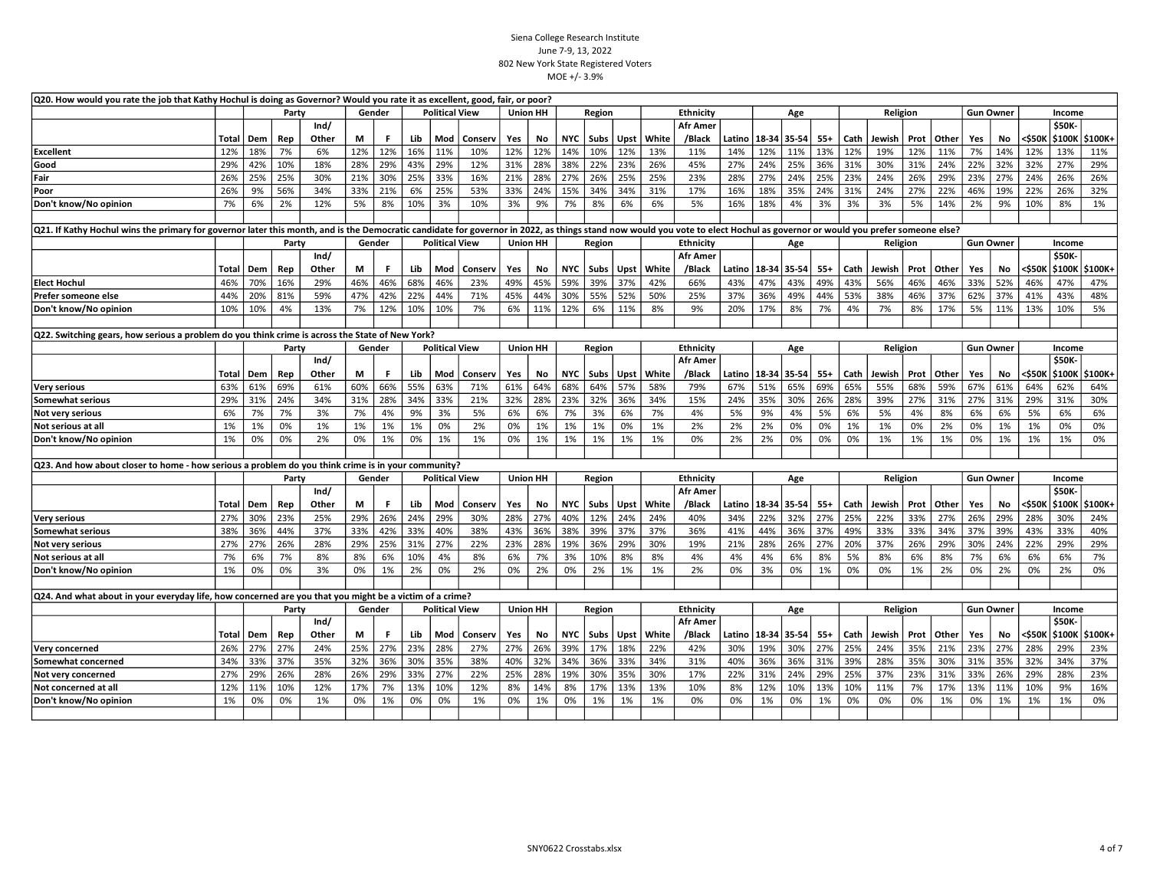| Q20. How would you rate the job that Kathy Hochul is doing as Governor? Would you rate it as excellent, good, fair, or poor?                                                                                                |           |           |           |           |           |           |            |                       |           |           |                 |            |            |           |           |                  |           |           |            |           |           |           |           |              |                  |           |           |               |                  |
|-----------------------------------------------------------------------------------------------------------------------------------------------------------------------------------------------------------------------------|-----------|-----------|-----------|-----------|-----------|-----------|------------|-----------------------|-----------|-----------|-----------------|------------|------------|-----------|-----------|------------------|-----------|-----------|------------|-----------|-----------|-----------|-----------|--------------|------------------|-----------|-----------|---------------|------------------|
|                                                                                                                                                                                                                             |           |           | Party     |           | Gender    |           |            | <b>Political View</b> |           |           | <b>Union HH</b> |            | Region     |           |           | Ethnicity        |           |           | Age        |           |           | Religion  |           |              | <b>Gun Owner</b> |           |           | Income        |                  |
|                                                                                                                                                                                                                             |           |           |           | Ind/      |           |           |            |                       |           |           |                 |            |            |           |           | <b>Afr Amer</b>  |           |           |            |           |           |           |           |              |                  |           |           | \$50K         |                  |
|                                                                                                                                                                                                                             | Total     | Dem       | Rep       | Other     | M         | F.        | Lib        | Mod                   | Conserv   | Yes       | No              |            | NYC Subs   | Upst      | White     | /Black           | Latino    | 18-34     | $ 35 - 54$ | $55+$     | Cath      | Jewish    | Prot      | Other        | Yes              | No        | <\$50K    |               | \$100K   \$100K+ |
| <b>Excellent</b>                                                                                                                                                                                                            | 12%       | 18%       | 7%        | 6%        | 12%       | 12%       | 16%        | 11%                   | 10%       | 12%       | 12%             | 14%        | 10%        | 12%       | 13%       | 11%              | 14%       | 12%       | 11%        | 13%       | 12%       | 19%       | 12%       | 11%          | 7%               | 14%       | 12%       | 13%           | 11%              |
| Good                                                                                                                                                                                                                        | 29%       | 42%       | 10%       | 18%       | 28%       | 29%       | 43%        | 29%                   | 12%       | 31%       | 28%             | 38%        | 22%        | 23%       | 26%       | 45%              | 27%       | 24%       | 25%        | 36%       | 31%       | 30%       | 31%       | 24%          | 22%              | 32%       | 32%       | 27%           | 29%              |
| Fair                                                                                                                                                                                                                        | 26%       | 25%       | 25%       | 30%       | 21%       | 30%       | 25%        | 33%                   | 16%       | 21%       | 28%             | 27%        | 26%        | 25%       | 25%       | 23%              | 28%       | 27%       | 24%        | 25%       | 23%       | 24%       | 26%       | 29%          | 23%              | 27%       | 24%       | 26%           | 26%              |
| Poor                                                                                                                                                                                                                        | 26%       | 9%        | 56%       | 34%       | 33%       | 21%       | 6%         | 25%                   | 53%       | 33%       | 24%             | 15%        | 34%        | 34%       | 31%       | 17%              | 16%       | 18%       | 35%        | 24%       | 31%       | 24%       | 27%       | 22%          | 46%              | 19%       | 22%       | 26%           | 32%              |
| Don't know/No opinion                                                                                                                                                                                                       | 7%        | 6%        | 2%        | 12%       | 5%        | 8%        | 10%        | 3%                    | 10%       | 3%        | 9%              | 7%         | 8%         | 6%        | 6%        | 5%               | 16%       | 18%       | 4%         | 3%        | 3%        | 3%        | 5%        | 14%          | 2%               | 9%        | 10%       | 8%            | 1%               |
|                                                                                                                                                                                                                             |           |           |           |           |           |           |            |                       |           |           |                 |            |            |           |           |                  |           |           |            |           |           |           |           |              |                  |           |           |               |                  |
| Q21. If Kathy Hochul wins the primary for governor later this month, and is the Democratic candidate for governor in 2022, as things stand now would you vote to elect Hochul as governor or would you prefer someone else? |           |           |           |           |           |           |            |                       |           |           |                 |            |            |           |           |                  |           |           |            |           |           |           |           |              |                  |           |           |               |                  |
|                                                                                                                                                                                                                             |           |           | Party     |           | Gender    |           |            | <b>Political View</b> |           |           | Union HH        |            | Region     |           |           | <b>Ethnicity</b> |           |           | Age        |           |           | Religion  |           |              | <b>Gun Owner</b> |           |           | Income        |                  |
|                                                                                                                                                                                                                             |           |           |           | Ind/      |           |           |            |                       |           |           |                 |            |            |           |           | <b>Afr Amer</b>  |           |           |            |           |           |           |           |              |                  |           |           | \$50K-        |                  |
|                                                                                                                                                                                                                             | Total     | Dem       | Rep       | Other     | М         | F.        | Lib        | Mod                   | Conserv   | Yes       | No              | <b>NYC</b> | Subs       | Upst      | White     | /Black           | Latino    | 18-34     | 35-54      | $55+$     | Cath      | Jewish    | Prot      | Other        | Yes              | No        | <\$50K    | \$100K        | \$100K+          |
| <b>Elect Hochul</b>                                                                                                                                                                                                         | 46%       | 70%       | 16%       | 29%       | 46%       | 46%       | 68%        | 46%                   | 23%       | 49%       | 45%             | 59%        | 39%        | 37%       | 42%       | 66%              | 43%       | 47%       | 43%        | 49%       | 43%       | 56%       | 46%       | 46%          | 33%              | 52%       | 46%       | 47%           | 47%              |
| Prefer someone else                                                                                                                                                                                                         | 44%       | 20%       | 81%       | 59%       | 47%       | 42%       | 22%        | 44%                   | 71%       | 45%       | 44%             | 30%        | 55%        | 52%       | 50%       | 25%              | 37%       | 36%       | 49%        | 44%       | 53%       | 38%       | 46%       | 37%          | 62%              | 37%       | 41%       | 43%           | 48%              |
| Don't know/No opinion                                                                                                                                                                                                       | 10%       | 10%       | 4%        | 13%       | 7%        | 12%       | 10%        | 10%                   | 7%        | 6%        | 11%             | 12%        | 6%         | 11%       | 8%        | 9%               | 20%       | 17%       | 8%         | 7%        | 4%        | 7%        | 8%        | 17%          | 5%               | 11%       | 13%       | 10%           | 5%               |
|                                                                                                                                                                                                                             |           |           |           |           |           |           |            |                       |           |           |                 |            |            |           |           |                  |           |           |            |           |           |           |           |              |                  |           |           |               |                  |
| Q22. Switching gears, how serious a problem do you think crime is across the State of New York?                                                                                                                             |           |           |           |           |           |           |            |                       |           |           |                 |            |            |           |           |                  |           |           |            |           |           |           |           |              |                  |           |           |               |                  |
|                                                                                                                                                                                                                             |           |           | Party     |           | Gender    |           |            | <b>Political View</b> |           |           | <b>Union HH</b> |            | Region     |           |           | Ethnicity        |           |           | Age        |           |           | Religion  |           |              | <b>Gun Owner</b> |           |           | Income        |                  |
|                                                                                                                                                                                                                             |           |           |           | Ind/      |           |           |            |                       |           |           |                 |            |            |           |           | Afr Amer         |           |           |            |           |           |           |           |              |                  |           |           | \$50K-        |                  |
|                                                                                                                                                                                                                             | Total     | Dem       | Rep       | Other     | М         | F.        | Lib        | Mod                   | Conserv   | Yes       | No.             | NYC        | l Subs     | Upst      | White     | /Black           | Latino    | 18-34     | $35 - 54$  | $55+$     | Cath      | Jewish    |           | Prot   Other | Yes              | No        | <\$50K    | <b>\$100K</b> | \$100K+          |
| Very serious                                                                                                                                                                                                                | 63%       | 61%       | 69%       | 61%       | 60%       | 66%       | 55%        | 63%                   | 71%       | 61%       | 64%             | 68%        | 64%        | 57%       | 58%       | 79%              | 67%       | 51%       | 65%        | 69%       | 65%       | 55%       | 68%       | 59%          | 67%              | 61%       | 64%       | 62%           | 64%              |
| <b>Somewhat serious</b>                                                                                                                                                                                                     | 29%       | 31%       | 24%       | 34%       | 31%       | 28%       | 34%        | 33%                   | 21%       | 32%       | 28%             | 23%        | 32%        | 36%       | 34%       | 15%              | 24%       | 35%       | 30%        | 26%       | 28%       | 39%       | 27%       | 31%          | 27%              | 31%       | 29%       | 31%           | 30%              |
| Not very serious                                                                                                                                                                                                            | 6%        | 7%        | 7%        | 3%        | 7%        | 4%        | 9%         | 3%                    | 5%        | 6%        | 6%              | 7%         | 3%         | 6%        | 7%        | 4%               | 5%        | 9%        | 4%         | 5%        | 6%        | 5%        | 4%        | 8%           | 6%               | 6%        | 5%        | 6%            | 6%               |
| Not serious at all                                                                                                                                                                                                          | 1%        | 1%        | 0%        | 1%        | 1%        | 1%        | 1%         | 0%                    | 2%        | 0%        | 1%              | 1%         | 1%         | 0%        | 1%        | 2%               | 2%        | 2%        | 0%         | 0%        | 1%        | 1%        | 0%        | 2%           | 0%               | 1%        | 1%        | 0%            | 0%               |
| Don't know/No opinion                                                                                                                                                                                                       | 1%        | 0%        | 0%        | 2%        | 0%        | 1%        | 0%         | 1%                    | 1%        | 0%        | 1%              | 1%         | 1%         | 1%        | 1%        | 0%               | 2%        | 2%        | 0%         | 0%        | 0%        | 1%        | 1%        | 1%           | 0%               | 1%        | 1%        | 1%            | 0%               |
|                                                                                                                                                                                                                             |           |           |           |           |           |           |            |                       |           |           |                 |            |            |           |           |                  |           |           |            |           |           |           |           |              |                  |           |           |               |                  |
| Q23. And how about closer to home - how serious a problem do you think crime is in your community?                                                                                                                          |           |           |           |           |           |           |            |                       |           |           |                 |            |            |           |           |                  |           |           |            |           |           |           |           |              |                  |           |           |               |                  |
|                                                                                                                                                                                                                             |           |           | Party     |           | Gender    |           |            | <b>Political View</b> |           |           | Union HH        |            | Region     |           |           | <b>Ethnicity</b> |           |           | Age        |           |           | Religion  |           |              | <b>Gun Owner</b> |           |           | Income        |                  |
|                                                                                                                                                                                                                             |           |           |           | Ind/      |           |           |            |                       |           |           |                 |            |            |           |           | <b>Afr Amer</b>  |           |           |            |           |           |           |           |              |                  |           |           | \$50K-        |                  |
|                                                                                                                                                                                                                             | Total     | Dem       | Rep       | Other     | M         | F         | Lib        | Mod                   | Conserv   | Yes       | No              | <b>NYC</b> | Subs       | Upst      | White     | /Black           | Latino    | 18-34     | 35-54      | $55+$     | Cath      | Jewish    | Prot      | <b>Other</b> | Yes              | No        | <\$50K    |               | \$100K   \$100K+ |
| Very serious                                                                                                                                                                                                                | 27%       | 30%       | 23%       | 25%       | 29%       | 26%       | 24%        | 29%                   | 30%       | 28%       | 27%             | 40%        | 12%        | 24%       | 24%       | 40%              | 34%       | 22%       | 32%        | 27%       | 25%       | 22%       | 33%       | 27%          | 26%              | 29%       | 28%       | 30%           | 24%              |
| <b>Somewhat serious</b>                                                                                                                                                                                                     | 38%       | 36%       | 44%       | 37%       | 33%       | 42%       | 33%        | 40%                   | 38%       | 43%       | 36%             | 38%        | 39%        | 37%       | 37%       | 36%              | 41%       | 44%       | 36%        | 37%       | 49%       | 33%       | 33%       | 34%          | 37%              | 39%       | 43%       | 33%           | 40%              |
| Not very serious                                                                                                                                                                                                            | 27%<br>7% | 27%<br>6% | 26%<br>7% | 28%<br>8% | 29%<br>8% | 25%<br>6% | 31%<br>10% | 27%<br>4%             | 22%<br>8% | 23%<br>6% | 28%<br>7%       | 19%<br>3%  | 36%<br>10% | 29%<br>8% | 30%<br>8% | 19%<br>4%        | 21%<br>4% | 28%<br>4% | 26%<br>6%  | 27%<br>8% | 20%<br>5% | 37%<br>8% | 26%<br>6% | 29%<br>8%    | 30%<br>7%        | 24%<br>6% | 22%<br>6% | 29%<br>6%     | 29%<br>7%        |
| Not serious at all                                                                                                                                                                                                          |           |           | 0%        | 3%        | 0%        | 1%        | 2%         | 0%                    | 2%        |           |                 |            |            |           | 1%        | 2%               | 0%        | 3%        | 0%         |           |           |           |           |              |                  |           |           |               |                  |
| Don't know/No opinion                                                                                                                                                                                                       | 1%        | 0%        |           |           |           |           |            |                       |           | 0%        | 2%              | 0%         | 2%         | 1%        |           |                  |           |           |            | 1%        | 0%        | 0%        | 1%        | 2%           | 0%               | 2%        | 0%        | 2%            | 0%               |
| Q24. And what about in your everyday life, how concerned are you that you might be a victim of a crime?                                                                                                                     |           |           |           |           |           |           |            |                       |           |           |                 |            |            |           |           |                  |           |           |            |           |           |           |           |              |                  |           |           |               |                  |
|                                                                                                                                                                                                                             |           |           | Party     |           | Gender    |           |            | <b>Political View</b> |           |           | <b>Union HH</b> |            | Region     |           |           | Ethnicity        |           |           | Age        |           |           | Religion  |           |              | <b>Gun Owner</b> |           |           | Income        |                  |
|                                                                                                                                                                                                                             |           |           |           | Ind/      |           |           |            |                       |           |           |                 |            |            |           |           | Afr Amer         |           |           |            |           |           |           |           |              |                  |           |           | \$50K-        |                  |
|                                                                                                                                                                                                                             | Total     | Dem       | Rep       | Other     | М         | F.        | Lib        | Mod                   | Conserv   | Yes       | No              | NYC        | Subs       | Upst      | White     | /Black           | Latino    | 18-34     | $35 - 54$  | $55+$     | Cath      | Jewish    | Prot      | Other        | Yes              | No        | <\$50ĸ    | \$100K        | \$100K+          |
| Very concerned                                                                                                                                                                                                              | 26%       | 27%       | 27%       | 24%       | 25%       | 27%       | 23%        | 28%                   | 27%       | 27%       | 26%             | 39%        | 17%        | 18%       | 22%       | 42%              | 30%       | 19%       | 30%        | 27%       | 25%       | 24%       | 35%       | 21%          | 23%              | 27%       | 28%       | 29%           | 23%              |
| Somewhat concerned                                                                                                                                                                                                          | 34%       | 33%       | 37%       | 35%       | 32%       | 36%       | 30%        | 35%                   | 38%       | 40%       | 32%             | 34%        | 36%        | 33%       | 34%       | 31%              | 40%       | 36%       | 36%        | 31%       | 39%       | 28%       | 35%       | 30%          | 31%              | 35%       | 32%       | 34%           | 37%              |
| Not very concerned                                                                                                                                                                                                          | 27%       | 29%       | 26%       | 28%       | 26%       | 29%       | 33%        | 27%                   | 22%       | 25%       | 28%             | 19%        | 30%        | 35%       | 30%       | 17%              | 22%       | 31%       | 24%        | 29%       | 25%       | 37%       | 23%       | 31%          | 33%              | 26%       | 29%       | 28%           | 23%              |
| Not concerned at all                                                                                                                                                                                                        | 12%       | 11%       | 10%       | 12%       | 17%       | 7%        | 13%        | 10%                   | 12%       | 8%        | 14%             | 8%         | 17%        | 13%       | 13%       | 10%              | 8%        | 12%       | 10%        | 13%       | 10%       | 11%       | 7%        | 17%          | 13%              | 11%       | 10%       | 9%            | 16%              |
| Don't know/No opinion                                                                                                                                                                                                       | 1%        | 0%        | 0%        | 1%        | 0%        | 1%        | 0%         | 0%                    | 1%        | 0%        | 1%              | 0%         | 1%         | 1%        | 1%        | 0%               | 0%        | 1%        | 0%         | 1%        | 0%        | 0%        | 0%        | 1%           | 0%               | 1%        | 1%        | 1%            | 0%               |
|                                                                                                                                                                                                                             |           |           |           |           |           |           |            |                       |           |           |                 |            |            |           |           |                  |           |           |            |           |           |           |           |              |                  |           |           |               |                  |
|                                                                                                                                                                                                                             |           |           |           |           |           |           |            |                       |           |           |                 |            |            |           |           |                  |           |           |            |           |           |           |           |              |                  |           |           |               |                  |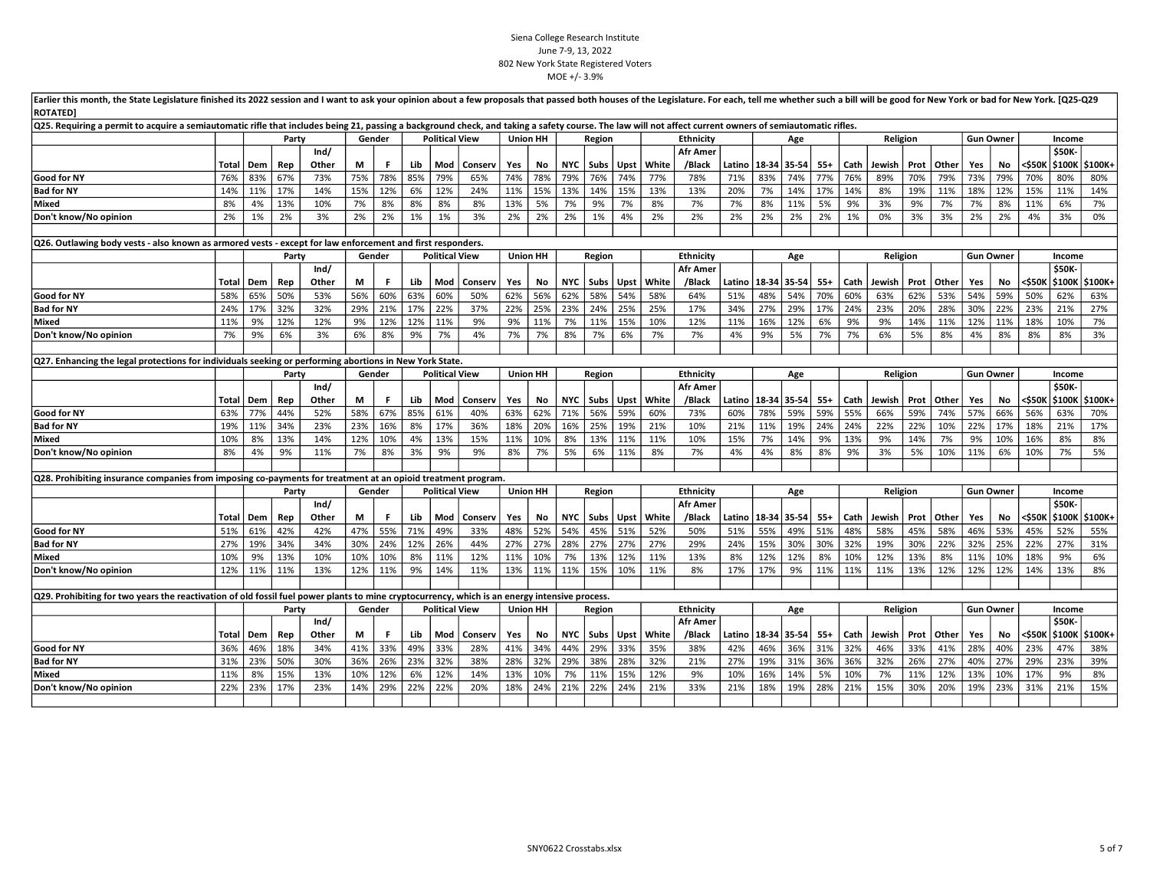|                                                                                                                                               | Earlier this month, the State Legislature finished its 2022 session and I want to ask your opinion about a few proposals that passed both houses of the Legislature. For each, tell me whether such a bill will be good for Ne<br><b>ROTATED]</b><br>Q25. Requiring a permit to acquire a semiautomatic rifle that includes being 21, passing a background check, and taking a safety course. The law will not affect current owners of semiautomatic rifles. |     |       |       |        |        |     |                       |         |     |                 |            |        |             |       |                  |        |                        |           |       |      |          |      |              |     |                  |        |               |         |
|-----------------------------------------------------------------------------------------------------------------------------------------------|---------------------------------------------------------------------------------------------------------------------------------------------------------------------------------------------------------------------------------------------------------------------------------------------------------------------------------------------------------------------------------------------------------------------------------------------------------------|-----|-------|-------|--------|--------|-----|-----------------------|---------|-----|-----------------|------------|--------|-------------|-------|------------------|--------|------------------------|-----------|-------|------|----------|------|--------------|-----|------------------|--------|---------------|---------|
|                                                                                                                                               |                                                                                                                                                                                                                                                                                                                                                                                                                                                               |     |       |       |        |        |     |                       |         |     |                 |            |        |             |       |                  |        |                        |           |       |      |          |      |              |     |                  |        |               |         |
|                                                                                                                                               |                                                                                                                                                                                                                                                                                                                                                                                                                                                               |     | Party |       |        | Gender |     | <b>Political View</b> |         |     | Union HH        |            | Region |             |       | <b>Ethnicity</b> |        |                        | Age       |       |      | Religion |      |              |     | <b>Gun Owner</b> |        | Income        |         |
|                                                                                                                                               |                                                                                                                                                                                                                                                                                                                                                                                                                                                               |     |       | Ind/  |        |        |     |                       |         |     |                 |            |        |             |       | <b>Afr Amer</b>  |        |                        |           |       |      |          |      |              |     |                  |        | \$50K-        |         |
|                                                                                                                                               | Total                                                                                                                                                                                                                                                                                                                                                                                                                                                         | Dem | Rep   | Other | М      | F      | Lib | Mod                   | Conserv | Yes | No              | <b>NYC</b> | Subs   | Upst        | White | /Black           | Latino | 18-34 35-54            |           | $55+$ | Cath | Jewish   | Prot | Other        | Yes | No               | <\$50K | \$100K        | \$100K+ |
| Good for NY                                                                                                                                   | 76%                                                                                                                                                                                                                                                                                                                                                                                                                                                           | 83% | 67%   | 73%   | 75%    | 78%    | 85% | 79%                   | 65%     | 74% | 78%             | 79%        | 76%    | 74%         | 77%   | 78%              | 71%    | 83%                    | 74%       | 77%   | 76%  | 89%      | 70%  | 79%          | 73% | 79%              | 70%    | 80%           | 80%     |
| <b>Bad for NY</b>                                                                                                                             | 14%                                                                                                                                                                                                                                                                                                                                                                                                                                                           | 11% | 17%   | 14%   | 15%    | 12%    | 6%  | 12%                   | 24%     | 11% | 15%             | 13%        | 14%    | 15%         | 13%   | 13%              | 20%    | 7%                     | 14%       | 17%   | 14%  | 8%       | 19%  | 11%          | 18% | 12%              | 15%    | 11%           | 14%     |
| Mixed                                                                                                                                         | 8%                                                                                                                                                                                                                                                                                                                                                                                                                                                            | 4%  | 13%   | 10%   | 7%     | 8%     | 8%  | 8%                    | 8%      | 13% | 5%              | 7%         | 9%     | 7%          | 8%    | 7%               | 7%     | 8%                     | 11%       | 5%    | 9%   | 3%       | 9%   | 7%           | 7%  | 8%               | 11%    | 6%            | 7%      |
| Don't know/No opinion                                                                                                                         | 2%                                                                                                                                                                                                                                                                                                                                                                                                                                                            | 1%  | 2%    | 3%    | 2%     | 2%     | 1%  | 1%                    | 3%      | 2%  | 2%              | 2%         | 1%     | 4%          | 2%    | 2%               | 2%     | 2%                     | 2%        | 2%    | 1%   | 0%       | 3%   | 3%           | 2%  | 2%               | 4%     | 3%            | 0%      |
|                                                                                                                                               |                                                                                                                                                                                                                                                                                                                                                                                                                                                               |     |       |       |        |        |     |                       |         |     |                 |            |        |             |       |                  |        |                        |           |       |      |          |      |              |     |                  |        |               |         |
| Q26. Outlawing body vests - also known as armored vests - except for law enforcement and first responders.                                    |                                                                                                                                                                                                                                                                                                                                                                                                                                                               |     |       |       |        |        |     |                       |         |     |                 |            |        |             |       |                  |        |                        |           |       |      |          |      |              |     |                  |        |               |         |
|                                                                                                                                               |                                                                                                                                                                                                                                                                                                                                                                                                                                                               |     | Party |       |        | Gender |     | <b>Political View</b> |         |     | <b>Union HH</b> |            | Region |             |       | <b>Ethnicity</b> |        |                        | Age       |       |      | Religion |      |              |     | <b>Gun Owner</b> |        | Income        |         |
|                                                                                                                                               |                                                                                                                                                                                                                                                                                                                                                                                                                                                               |     |       | Ind/  |        |        |     |                       |         |     |                 |            |        |             |       | <b>Afr Amer</b>  |        |                        |           |       |      |          |      |              |     |                  |        | <b>\$50K-</b> |         |
|                                                                                                                                               | Total                                                                                                                                                                                                                                                                                                                                                                                                                                                         | Dem | Rep   | Other | M      | F.     | Lib | Mod                   | Conserv | Yes | No              | <b>NYC</b> | Subs   | <b>Upst</b> | White | /Black           |        | Latino   18-34   35-54 |           | $55+$ | Cath | Jewish   |      | Prot   Other | Yes | No               | <\$50K | \$100K        | \$100K+ |
| Good for NY                                                                                                                                   | 58%                                                                                                                                                                                                                                                                                                                                                                                                                                                           | 65% | 50%   | 53%   | 56%    | 60%    | 63% | 60%                   | 50%     | 62% | 56%             | 62%        | 58%    | 54%         | 58%   | 64%              | 51%    | 48%                    | 54%       | 70%   | 60%  | 63%      | 62%  | 53%          | 54% | 59%              | 50%    | 62%           | 63%     |
| <b>Bad for NY</b>                                                                                                                             | 24%                                                                                                                                                                                                                                                                                                                                                                                                                                                           | 17% | 32%   | 32%   | 29%    | 21%    | 17% | 22%                   | 37%     | 22% | 25%             | 23%        | 24%    | 25%         | 25%   | 17%              | 34%    | 27%                    | 29%       | 17%   | 24%  | 23%      | 20%  | 28%          | 30% | 22%              | 23%    | 21%           | 27%     |
| Mixed                                                                                                                                         | 11%                                                                                                                                                                                                                                                                                                                                                                                                                                                           | 9%  | 12%   | 12%   | 9%     | 12%    | 12% | 11%                   | 9%      | 9%  | 11%             | 7%         | 11%    | 15%         | 10%   | 12%              | 11%    | 16%                    | 12%       | 6%    | 9%   | 9%       | 14%  | 11%          | 12% | 11%              | 18%    | 10%           | 7%      |
| Don't know/No opinion                                                                                                                         | 7%                                                                                                                                                                                                                                                                                                                                                                                                                                                            | 9%  | 6%    | 3%    | 6%     | 8%     | 9%  | 7%                    | 4%      | 7%  | 7%              | 8%         | 7%     | 6%          | 7%    | 7%               | 4%     | 9%                     | 5%        | 7%    | 7%   | 6%       | 5%   | 8%           | 4%  | 8%               | 8%     | 8%            | 3%      |
|                                                                                                                                               |                                                                                                                                                                                                                                                                                                                                                                                                                                                               |     |       |       |        |        |     |                       |         |     |                 |            |        |             |       |                  |        |                        |           |       |      |          |      |              |     |                  |        |               |         |
|                                                                                                                                               | Q27. Enhancing the legal protections for individuals seeking or performing abortions in New York State.<br>Party<br>Gender<br><b>Political View</b><br><b>Union HH</b><br>Religion<br><b>Gun Owner</b>                                                                                                                                                                                                                                                        |     |       |       |        |        |     |                       |         |     |                 |            |        |             |       |                  |        |                        |           |       |      |          |      |              |     |                  |        |               |         |
|                                                                                                                                               |                                                                                                                                                                                                                                                                                                                                                                                                                                                               |     |       |       |        |        |     |                       |         |     |                 |            | Region |             |       | Ethnicity        |        |                        | Age       |       |      |          |      |              |     |                  |        | Income        |         |
|                                                                                                                                               |                                                                                                                                                                                                                                                                                                                                                                                                                                                               |     |       | Ind/  |        |        |     |                       |         |     |                 |            |        |             |       | <b>Afr Amer</b>  |        |                        |           |       |      |          |      |              |     |                  |        | \$50K-        |         |
|                                                                                                                                               | Total                                                                                                                                                                                                                                                                                                                                                                                                                                                         | Dem | Rep   | Other | М      | F.     | Lib | Mod                   | Conserv | Yes | No              | <b>NYC</b> | Subs   | Upst        | White | /Black           |        | Latino   18-34   35-54 |           | $55+$ | Cath | Jewish   |      | Prot   Other | Yes | <b>No</b>        | <\$50K | \$100K        | \$100K+ |
| Good for NY                                                                                                                                   | 63%                                                                                                                                                                                                                                                                                                                                                                                                                                                           | 77% | 44%   | 52%   | 58%    | 67%    | 85% | 61%                   | 40%     | 63% | 62%             | 71%        | 56%    | 59%         | 60%   | 73%              | 60%    | 78%                    | 59%       | 59%   | 55%  | 66%      | 59%  | 74%          | 57% | 66%              | 56%    | 63%           | 70%     |
| <b>Bad for NY</b>                                                                                                                             | 19%                                                                                                                                                                                                                                                                                                                                                                                                                                                           | 11% | 34%   | 23%   | 23%    | 16%    | 8%  | 17%                   | 36%     | 18% | 20%             | 16%        | 25%    | 19%         | 21%   | 10%              | 21%    | 11%                    | 19%       | 24%   | 24%  | 22%      | 22%  | 10%          | 22% | 17%              | 18%    | 21%           | 17%     |
| Mixed                                                                                                                                         | 10%                                                                                                                                                                                                                                                                                                                                                                                                                                                           | 8%  | 13%   | 14%   | 12%    | 10%    | 4%  | 13%                   | 15%     | 11% | 10%             | 8%         | 13%    | 11%         | 11%   | 10%              | 15%    | 7%                     | 14%       | 9%    | 13%  | 9%       | 14%  | 7%           | 9%  | 10%              | 16%    | 8%            | 8%      |
| Don't know/No opinion                                                                                                                         | 8%                                                                                                                                                                                                                                                                                                                                                                                                                                                            | 4%  | 9%    | 11%   | 7%     | 8%     | 3%  | 9%                    | 9%      | 8%  | 7%              | 5%         | 6%     | 11%         | 8%    | 7%               | 4%     | 4%                     | 8%        | 8%    | 9%   | 3%       | 5%   | 10%          | 11% | 6%               | 10%    | 7%            | 5%      |
|                                                                                                                                               |                                                                                                                                                                                                                                                                                                                                                                                                                                                               |     |       |       |        |        |     |                       |         |     |                 |            |        |             |       |                  |        |                        |           |       |      |          |      |              |     |                  |        |               |         |
| Q28. Prohibiting insurance companies from imposing co-payments for treatment at an opioid treatment program.                                  |                                                                                                                                                                                                                                                                                                                                                                                                                                                               |     |       |       |        |        |     |                       |         |     |                 |            |        |             |       |                  |        |                        |           |       |      |          |      |              |     |                  |        |               |         |
|                                                                                                                                               |                                                                                                                                                                                                                                                                                                                                                                                                                                                               |     | Party |       | Gender |        |     | <b>Political View</b> |         |     | <b>Union HH</b> |            | Region |             |       | <b>Ethnicity</b> |        |                        | Age       |       |      | Religion |      |              |     | <b>Gun Owner</b> |        | Income        |         |
|                                                                                                                                               |                                                                                                                                                                                                                                                                                                                                                                                                                                                               |     |       | Ind/  |        |        |     |                       |         |     |                 |            |        |             |       | <b>Afr Amer</b>  |        |                        |           |       |      |          |      |              |     |                  |        | <b>\$50K-</b> |         |
|                                                                                                                                               | Total                                                                                                                                                                                                                                                                                                                                                                                                                                                         | Dem | Rep   | Other | М      | F.     | Lib | Mod                   | Conserv | Yes | No              | <b>NYC</b> | Subs   | Upst        | White | /Black           | Latino | 18-34                  | $35 - 54$ | $55+$ | Cath | Jewish   |      | Prot   Other | Yes | No               | <\$50K | \$100K        | \$100K+ |
| Good for NY                                                                                                                                   | 51%                                                                                                                                                                                                                                                                                                                                                                                                                                                           | 61% | 42%   | 42%   | 47%    | 55%    | 71% | 49%                   | 33%     | 48% | 52%             | 54%        | 45%    | 51%         | 52%   | 50%              | 51%    | 55%                    | 49%       | 51%   | 48%  | 58%      | 45%  | 58%          | 46% | 53%              | 45%    | 52%           | 55%     |
| <b>Bad for NY</b>                                                                                                                             | 27%                                                                                                                                                                                                                                                                                                                                                                                                                                                           | 19% | 34%   | 34%   | 30%    | 24%    | 12% | 26%                   | 44%     | 27% | 27%             | 28%        | 27%    | 27%         | 27%   | 29%              | 24%    | 15%                    | 30%       | 30%   | 32%  | 19%      | 30%  | 22%          | 32% | 25%              | 22%    | 27%           | 31%     |
| Mixed                                                                                                                                         | 10%                                                                                                                                                                                                                                                                                                                                                                                                                                                           | 9%  | 13%   | 10%   | 10%    | 10%    | 8%  | 11%                   | 12%     | 11% | 10%             | 7%         | 13%    | 12%         | 11%   | 13%              | 8%     | 12%                    | 12%       | 8%    | 10%  | 12%      | 13%  | 8%           | 11% | 10%              | 18%    | 9%            | 6%      |
| Don't know/No opinion                                                                                                                         | 12%                                                                                                                                                                                                                                                                                                                                                                                                                                                           | 11% | 11%   | 13%   | 12%    | 11%    | 9%  | 14%                   | 11%     | 13% | 11%             | 11%        | 15%    | 10%         | 11%   | 8%               | 17%    | 17%                    | 9%        | 11%   | 11%  | 11%      | 13%  | 12%          | 12% | 12%              | 14%    | 13%           | 8%      |
| Q29. Prohibiting for two years the reactivation of old fossil fuel power plants to mine cryptocurrency, which is an energy intensive process. |                                                                                                                                                                                                                                                                                                                                                                                                                                                               |     |       |       |        |        |     |                       |         |     |                 |            |        |             |       |                  |        |                        |           |       |      |          |      |              |     |                  |        |               |         |
|                                                                                                                                               |                                                                                                                                                                                                                                                                                                                                                                                                                                                               |     | Party |       | Gender |        |     | <b>Political View</b> |         |     | <b>Union HH</b> |            | Region |             |       | Ethnicity        |        |                        | Age       |       |      | Religion |      |              |     | <b>Gun Owner</b> |        | Income        |         |
|                                                                                                                                               |                                                                                                                                                                                                                                                                                                                                                                                                                                                               |     |       | Ind/  |        |        |     |                       |         |     |                 |            |        |             |       | <b>Afr Amer</b>  |        |                        |           |       |      |          |      |              |     |                  |        | \$50K-        |         |
|                                                                                                                                               | Total                                                                                                                                                                                                                                                                                                                                                                                                                                                         | Dem | Rep   | Other | М      | F      | Lib | Mod                   | Conserv | Yes | No              | <b>NYC</b> | Subs   | Upst        | White | /Black           | Latino | 18-34 35-54            |           | $55+$ | Cath | Jewish   |      | Prot   Other | Yes | No               | <\$50K | \$100K        | \$100K+ |
| Good for NY                                                                                                                                   | 36%                                                                                                                                                                                                                                                                                                                                                                                                                                                           | 46% | 18%   | 34%   | 41%    | 33%    | 49% | 33%                   | 28%     | 41% | 34%             | 44%        | 29%    | 33%         | 35%   | 38%              | 42%    | 46%                    | 36%       | 31%   | 32%  | 46%      | 33%  | 41%          | 28% | 40%              | 23%    | 47%           | 38%     |
| <b>Bad for NY</b>                                                                                                                             | 31%                                                                                                                                                                                                                                                                                                                                                                                                                                                           | 23% | 50%   | 30%   | 36%    | 26%    | 23% | 32%                   | 38%     | 28% | 32%             | 29%        | 38%    | 28%         | 32%   | 21%              | 27%    | 19%                    | 31%       | 36%   | 36%  | 32%      | 26%  | 27%          | 40% | 27%              | 29%    | 23%           | 39%     |
| Mixed                                                                                                                                         | 11%                                                                                                                                                                                                                                                                                                                                                                                                                                                           | 8%  | 15%   | 13%   | 10%    | 12%    | 6%  | 12%                   | 14%     | 13% | 10%             | 7%         | 11%    | 15%         | 12%   | 9%               | 10%    | 16%                    | 14%       | 5%    | 10%  | 7%       | 11%  | 12%          | 13% | 10%              | 17%    | 9%            | 8%      |
| Don't know/No opinion                                                                                                                         | 22%                                                                                                                                                                                                                                                                                                                                                                                                                                                           | 23% | 17%   | 23%   | 14%    | 29%    | 22% | 22%                   | 20%     | 18% | 24%             | 21%        | 22%    | 24%         | 21%   | 33%              | 21%    | 18%                    | 19%       | 28%   | 21%  | 15%      | 30%  | 20%          | 19% | 23%              | 31%    | 21%           | 15%     |
|                                                                                                                                               |                                                                                                                                                                                                                                                                                                                                                                                                                                                               |     |       |       |        |        |     |                       |         |     |                 |            |        |             |       |                  |        |                        |           |       |      |          |      |              |     |                  |        |               |         |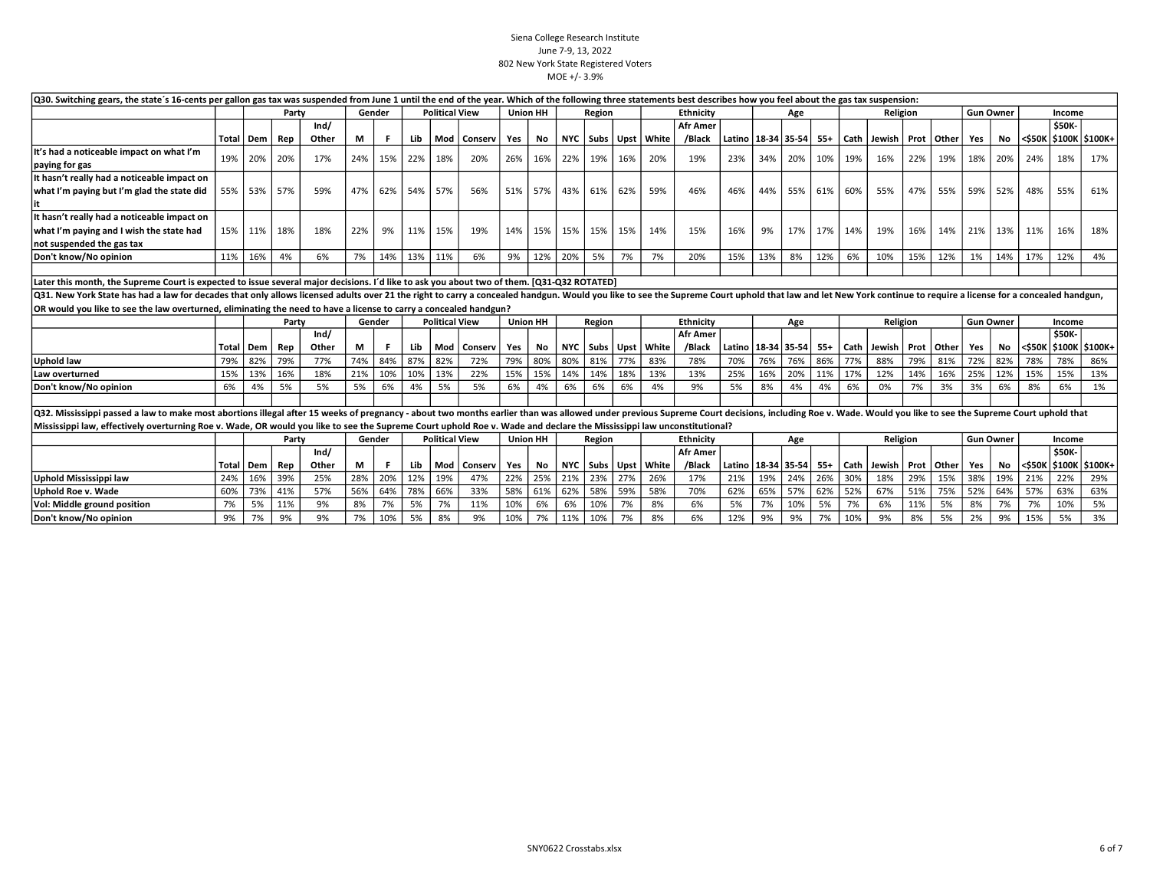| Q30. Switching gears, the state's 16-cents per gallon gas tax was suspended from June 1 until the end of the year. Which of the following three statements best describes how you feel about the gas tax suspension:<br><b>Political View</b><br><b>Union HH</b><br>Gender<br>Region<br>Religion<br><b>Gun Owner</b><br>Party<br>Income |       |                                                                                                                                                                                                                                                                                                                                                    |       |       |     |        |         |                       |               |     |                 |       |        |     |                           |                  |                              |     |     |     |      |                              |          |     |     |                  |     |             |               |                           |
|-----------------------------------------------------------------------------------------------------------------------------------------------------------------------------------------------------------------------------------------------------------------------------------------------------------------------------------------|-------|----------------------------------------------------------------------------------------------------------------------------------------------------------------------------------------------------------------------------------------------------------------------------------------------------------------------------------------------------|-------|-------|-----|--------|---------|-----------------------|---------------|-----|-----------------|-------|--------|-----|---------------------------|------------------|------------------------------|-----|-----|-----|------|------------------------------|----------|-----|-----|------------------|-----|-------------|---------------|---------------------------|
|                                                                                                                                                                                                                                                                                                                                         |       |                                                                                                                                                                                                                                                                                                                                                    |       |       |     |        |         |                       |               |     |                 |       |        |     |                           | <b>Ethnicity</b> |                              |     | Age |     |      |                              |          |     |     |                  |     |             |               |                           |
|                                                                                                                                                                                                                                                                                                                                         |       |                                                                                                                                                                                                                                                                                                                                                    |       | Ind/  |     |        |         |                       |               |     |                 |       |        |     |                           | <b>Afr Amer</b>  |                              |     |     |     |      |                              |          |     |     |                  |     |             | <b>\$50K-</b> |                           |
|                                                                                                                                                                                                                                                                                                                                         | Total | Dem                                                                                                                                                                                                                                                                                                                                                | Rep   | Other | М   |        | Lib     | Mod                   | Conserv       | Yes | No              |       |        |     | NYC   Subs   Upst   White | /Black           | Latino   18-34   35-54   55+ |     |     |     |      | Cath   Jewish   Prot   Other |          |     |     | Yes              | No  | <b>SSOK</b> |               | \$100K   \$100K+          |
| It's had a noticeable impact on what I'm                                                                                                                                                                                                                                                                                                | 19%   |                                                                                                                                                                                                                                                                                                                                                    |       |       |     |        |         |                       |               |     |                 |       |        |     | 20%                       |                  |                              |     |     |     |      |                              |          |     |     |                  |     | 24%         | 18%           |                           |
| paying for gas                                                                                                                                                                                                                                                                                                                          |       | 20%                                                                                                                                                                                                                                                                                                                                                | 20%   | 17%   | 24% | 15%    | 22%     | 18%                   | 20%           | 26% | 16%             | 22%   | 19%    | 16% |                           | 19%              | 23%                          | 34% | 20% | 10% | 19%  | 16%                          | 22%      |     | 19% | 18%              | 20% |             |               | 17%                       |
| It hasn't really had a noticeable impact on                                                                                                                                                                                                                                                                                             |       |                                                                                                                                                                                                                                                                                                                                                    |       |       |     |        |         |                       |               |     |                 |       |        |     |                           |                  |                              |     |     |     |      |                              |          |     |     |                  |     |             |               |                           |
| what I'm paying but I'm glad the state did                                                                                                                                                                                                                                                                                              |       | 55% 53% 57%                                                                                                                                                                                                                                                                                                                                        |       | 59%   | 47% | 62%    | 54% 57% |                       | 56%           | 51% | 57%             | 43%   | 61%    | 62% | 59%                       | 46%              | 46%                          | 44% | 55% | 61% | 60%  | 55%                          | 47%      |     | 55% | 59%              | 52% | 48%         | 55%           | 61%                       |
|                                                                                                                                                                                                                                                                                                                                         |       |                                                                                                                                                                                                                                                                                                                                                    |       |       |     |        |         |                       |               |     |                 |       |        |     |                           |                  |                              |     |     |     |      |                              |          |     |     |                  |     |             |               |                           |
| It hasn't really had a noticeable impact on                                                                                                                                                                                                                                                                                             |       |                                                                                                                                                                                                                                                                                                                                                    |       |       |     |        |         |                       |               |     |                 |       |        |     |                           |                  |                              |     |     |     |      |                              |          |     |     |                  |     |             |               |                           |
| what I'm paying and I wish the state had                                                                                                                                                                                                                                                                                                |       | 15% 11% 18%                                                                                                                                                                                                                                                                                                                                        |       | 18%   | 22% | 9%     | 11% 15% |                       | 19%           | 14% | 15%             | 15% l | 15%    | 15% | 14%                       | 15%              | 16%                          | 9%  | 17% | 17% | 14%  | 19%                          | 16%      |     | 14% | 21%              | 13% | 11%         | 16%           | 18%                       |
| not suspended the gas tax                                                                                                                                                                                                                                                                                                               |       |                                                                                                                                                                                                                                                                                                                                                    |       |       |     |        |         |                       |               |     |                 |       |        |     |                           |                  |                              |     |     |     |      |                              |          |     |     |                  |     |             |               |                           |
| Don't know/No opinion                                                                                                                                                                                                                                                                                                                   | 11%   | 16%                                                                                                                                                                                                                                                                                                                                                | 4%    | 6%    | 7%  | 14%    | 13%     | 11%                   | 6%            | 9%  | 12%             | 20%   | 5%     | 7%  | 7%                        | 20%              | 15%                          | 13% | 8%  | 12% | 6%   | 10%                          | 15%      |     | 12% | 1%               | 14% | 17%         | 12%           | 4%                        |
|                                                                                                                                                                                                                                                                                                                                         |       |                                                                                                                                                                                                                                                                                                                                                    |       |       |     |        |         |                       |               |     |                 |       |        |     |                           |                  |                              |     |     |     |      |                              |          |     |     |                  |     |             |               |                           |
| Later this month, the Supreme Court is expected to issue several major decisions. I'd like to ask you about two of them. [Q31-Q32 ROTATED]                                                                                                                                                                                              |       |                                                                                                                                                                                                                                                                                                                                                    |       |       |     |        |         |                       |               |     |                 |       |        |     |                           |                  |                              |     |     |     |      |                              |          |     |     |                  |     |             |               |                           |
|                                                                                                                                                                                                                                                                                                                                         |       |                                                                                                                                                                                                                                                                                                                                                    |       |       |     |        |         |                       |               |     |                 |       |        |     |                           |                  |                              |     |     |     |      |                              |          |     |     |                  |     |             |               |                           |
|                                                                                                                                                                                                                                                                                                                                         |       | Q31. New York State has had a law for decades that only allows licensed adults over 21 the right to carry a concealed handgun. Would you like to see the Supreme Court uphold that law and let New York continue to require a<br>OR would you like to see the law overturned, eliminating the need to have a license to carry a concealed handgun? |       |       |     |        |         |                       |               |     |                 |       |        |     |                           |                  |                              |     |     |     |      |                              |          |     |     |                  |     |             |               |                           |
|                                                                                                                                                                                                                                                                                                                                         |       |                                                                                                                                                                                                                                                                                                                                                    | Party |       |     | Gender |         | <b>Political View</b> |               |     | <b>Union HH</b> |       | Region |     |                           | Ethnicity        |                              |     | Age |     |      |                              | Religion |     |     | <b>Gun Owner</b> |     |             | Income        |                           |
|                                                                                                                                                                                                                                                                                                                                         |       |                                                                                                                                                                                                                                                                                                                                                    |       | Ind/  |     |        |         |                       |               |     |                 |       |        |     |                           | <b>Afr Amer</b>  |                              |     |     |     |      |                              |          |     |     |                  |     |             | <b>\$50K-</b> |                           |
|                                                                                                                                                                                                                                                                                                                                         | Total | Dem                                                                                                                                                                                                                                                                                                                                                | Rep   | Other | М   | F.     | Lib     |                       | Mod   Conserv | Yes | No              |       |        |     | NYC   Subs   Upst   White | /Black           | Latino   18-34   35-54   55+ |     |     |     |      | Cath   Jewish   Prot   Other |          |     |     | Yes              |     |             |               | No <\$50K \$100K \$100K+  |
| <b>Uphold law</b>                                                                                                                                                                                                                                                                                                                       | 79%   | 82%                                                                                                                                                                                                                                                                                                                                                | 79%   | 77%   | 74% | 84%    | 87%     | 82%                   | 72%           | 79% | 80%             | 80%   | 81%    | 77% | 83%                       | 78%              | 70%                          | 76% | 76% | 86% | 77%  | 88%                          | 79%      | 81% |     | 72%              | 82% | 78%         | 78%           | 86%                       |
| Law overturned                                                                                                                                                                                                                                                                                                                          | 15%   | 13%                                                                                                                                                                                                                                                                                                                                                | 16%   | 18%   | 21% | 10%    | 10%     | 13%                   | 22%           | 15% | 15%             | 14%   | 14%    | 18% | 13%                       | 13%              | 25%                          | 16% | 20% | 11% | 17%  | 12%                          | 14%      |     | 16% | 25%              | 12% | 15%         | 15%           | 13%                       |
| Don't know/No opinion                                                                                                                                                                                                                                                                                                                   | 6%    | 4%                                                                                                                                                                                                                                                                                                                                                 | 5%    | 5%    | 5%  | 6%     | 4%      | 5%                    | 5%            | 6%  | 4%              | 6%    | 6%     | 6%  | 4%                        | 9%               | 5%                           | 8%  | 4%  | 4%  | 6%   | 0%                           | 7%       | 3%  |     | 3%               | 6%  | 8%          | 6%            | 1%                        |
|                                                                                                                                                                                                                                                                                                                                         |       |                                                                                                                                                                                                                                                                                                                                                    |       |       |     |        |         |                       |               |     |                 |       |        |     |                           |                  |                              |     |     |     |      |                              |          |     |     |                  |     |             |               |                           |
| Q32. Mississippi passed a law to make most abortions illegal after 15 weeks of pregnancy - about two months earlier than was allowed under previous Supreme Court decisions, including Roe v. Wade. Would you like to see the                                                                                                           |       |                                                                                                                                                                                                                                                                                                                                                    |       |       |     |        |         |                       |               |     |                 |       |        |     |                           |                  |                              |     |     |     |      |                              |          |     |     |                  |     |             |               |                           |
| Mississippi law, effectively overturning Roe v. Wade, OR would you like to see the Supreme Court uphold Roe v. Wade and declare the Mississippi law unconstitutional?                                                                                                                                                                   |       |                                                                                                                                                                                                                                                                                                                                                    |       |       |     |        |         |                       |               |     |                 |       |        |     |                           |                  |                              |     |     |     |      |                              |          |     |     |                  |     |             |               |                           |
|                                                                                                                                                                                                                                                                                                                                         |       |                                                                                                                                                                                                                                                                                                                                                    | Party |       |     | Gender |         | <b>Political View</b> |               |     | <b>Union HH</b> |       | Region |     |                           | <b>Ethnicity</b> |                              |     | Age |     |      |                              | Religion |     |     | <b>Gun Owner</b> |     |             | Income        |                           |
|                                                                                                                                                                                                                                                                                                                                         |       |                                                                                                                                                                                                                                                                                                                                                    |       | Ind/  |     |        |         |                       |               |     |                 |       |        |     |                           | <b>Afr Amer</b>  |                              |     |     |     |      |                              |          |     |     |                  |     |             | <b>\$50K-</b> |                           |
|                                                                                                                                                                                                                                                                                                                                         | Total | Dem                                                                                                                                                                                                                                                                                                                                                | Rep   | Other | М   | -F     | Lib     | Mod                   | Conserv       | Yes | No              |       |        |     | NYC   Subs   Upst   White | /Black           | Latino   18-34   35-54   55+ |     |     |     | Cath | Jewish   Prot   Other        |          |     |     | Yes              |     |             |               | No  <\$50K \$100K \$100K+ |
| <b>Uphold Mississippi law</b>                                                                                                                                                                                                                                                                                                           | 24%   | 16%                                                                                                                                                                                                                                                                                                                                                | 39%   | 25%   | 28% | 20%    | 12%     | 19%                   | 47%           | 22% | 25%             | 21%   | 23%    | 27% | 26%                       | 17%              | 21%                          | 19% | 24% | 26% | 30%  | 18%                          | 29%      |     | 15% | 38%              | 19% | 21%         | 22%           | 29%                       |
| Uphold Roe v. Wade                                                                                                                                                                                                                                                                                                                      | 60%   | 73%                                                                                                                                                                                                                                                                                                                                                | 41%   | 57%   | 56% | 64%    | 78%     | 66%                   | 33%           | 58% | 61%             | 62%   | 58%    | 59% | 58%                       | 70%              | 62%                          | 65% | 57% | 62% | 52%  | 67%                          | 51%      |     | 75% | 52%              | 64% | 57%         | 63%           | 63%                       |
| Vol: Middle ground position                                                                                                                                                                                                                                                                                                             | 7%    | 5%                                                                                                                                                                                                                                                                                                                                                 | 11%   | 9%    | 8%  | 7%     | 5%      | 7%                    | 11%           | 10% | 6%              | 6%    | 10%    | 7%  | 8%                        | 6%               | 5%                           | 7%  | 10% | 5%  | 7%   | 6%                           | 11%      |     | 5%  | 8%               | 7%  | 7%          | 10%           | 5%                        |
| Don't know/No opinion                                                                                                                                                                                                                                                                                                                   | 9%    | 7%                                                                                                                                                                                                                                                                                                                                                 | 9%    | 9%    | 7%  | 10%    | 5%      | 8%                    | 9%            | 10% | 7%              | 11%   | 10%    | 7%  | 8%                        | 6%               | 12%                          | 9%  | 9%  | 7%  | 10%  | 9%                           | 8%       | 5%  |     | 2%               | 9%  | 15%         | 5%            | 3%                        |
|                                                                                                                                                                                                                                                                                                                                         |       |                                                                                                                                                                                                                                                                                                                                                    |       |       |     |        |         |                       |               |     |                 |       |        |     |                           |                  |                              |     |     |     |      |                              |          |     |     |                  |     |             |               |                           |